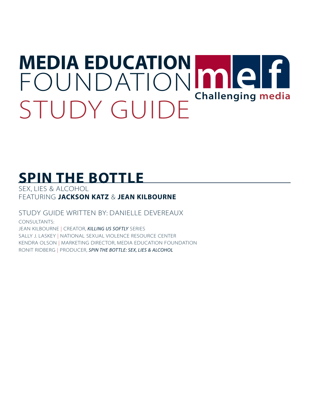# **MEDIA EDUCATION** [FOUNDATION](http://www.mediaed.org) MICH STUDY GUIDE<sup></sup> Challenging media

# **[SPIN THE BOTTLE](http://www.who.int/violence_injury_prevention/violence/interpersonal/ip3/en)**

SEX, LIES & ALCOHOL FEATURING **JACKSON KATZ** & **JEAN KILBOURNE**

STUDY GUIDE WRITTEN BY: DANIELLE DEVEREAUX

CONSULTANTS: JEAN KILBOURNE | CREATOR, *KILLING US SOFTLY* SERIES SALLY J. LASKEY | NATIONAL SEXUAL VIOLENCE RESOURCE CENTER KENDRA OLSON | MARKETING DIRECTOR, MEDIA EDUCATION FOUNDATION RONIT RIDBERG | PRODUCER, *SPIN THE BOTTLE: SEX, LIES & ALCOHOL*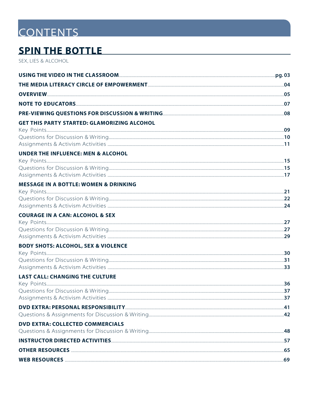# **CONTENTS**

### **SPIN THE BOTTLE**

SEX, LIES & ALCOHOL

| <b>GET THIS PARTY STARTED: GLAMORIZING ALCOHOL</b> |  |
|----------------------------------------------------|--|
|                                                    |  |
|                                                    |  |
|                                                    |  |
| <b>UNDER THE INFLUENCE: MEN &amp; ALCOHOL</b>      |  |
|                                                    |  |
|                                                    |  |
|                                                    |  |
| <b>MESSAGE IN A BOTTLE: WOMEN &amp; DRINKING</b>   |  |
|                                                    |  |
|                                                    |  |
|                                                    |  |
| <b>COURAGE IN A CAN: ALCOHOL &amp; SEX</b>         |  |
|                                                    |  |
|                                                    |  |
|                                                    |  |
| <b>BODY SHOTS: ALCOHOL, SEX &amp; VIOLENCE</b>     |  |
|                                                    |  |
|                                                    |  |
| <b>LAST CALL: CHANGING THE CULTURE</b>             |  |
|                                                    |  |
|                                                    |  |
|                                                    |  |
|                                                    |  |
|                                                    |  |
| <b>DVD EXTRA: COLLECTED COMMERCIALS</b>            |  |
|                                                    |  |
|                                                    |  |
|                                                    |  |
|                                                    |  |
|                                                    |  |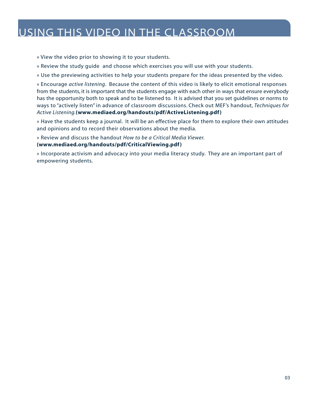### <span id="page-2-0"></span>USING THIS VIDEO IN THE CLASSROOM

» View the video prior to showing it to your students.

» Review the study guide and choose which exercises you will use with your students.

» Use the previewing activities to help your students prepare for the ideas presented by the video.

» Encourage *active listening*. Because the content of this video is likely to elicit emotional responses from the students, it is important that the students engage with each other in ways that ensure everybody has the opportunity both to speak and to be listened to. It is advised that you set guidelines or norms to ways to "actively listen" in advance of classroom discussions. Check out MEF's handout, *Techniques for Active Listening.***[\(www.mediaed.org/handouts/pdf/ActiveListening.pdf \)](http://www.mediaed.org/handouts/pdf/ActiveListening.pdf)**

» Have the students keep a journal. It will be an effective place for them to explore their own attitudes and opinions and to record their observations about the media.

» Review and discuss the handout *How to be a Critical Media Viewer.*

#### **[\(www.mediaed.org/handouts/pdf/CriticalViewing.pdf \)](http://www.mediaed.org/handouts/pdf/CriticalViewing.pdf)**

» Incorporate activism and advocacy into your media literacy study. They are an important part of empowering students.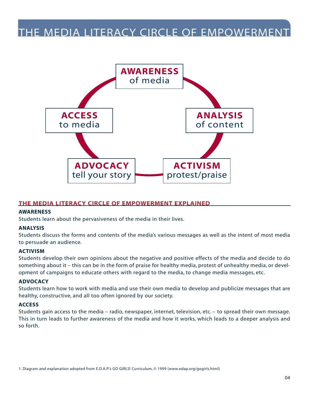### <span id="page-3-0"></span>THE MEDIA LITERACY CIRCLE OF EMPOWERMENT



#### **THE MEDIA LITERACY CIRCLE OF EMPOWERMENT EXPLAINED**

#### **AWARENESS**

Students learn about the pervasiveness of the media in their lives.

#### **ANALYSIS**

Students discuss the forms and contents of the media's various messages as well as the intent of most media to persuade an audience.

#### **ACTIVISM**

Students develop their own opinions about the negative and positive effects of the media and decide to do something about it – this can be in the form of praise for healthy media, protest of unhealthy media, or development of campaigns to educate others with regard to the media, to change media messages, etc.

#### **ADVOCACY**

Students learn how to work with media and use their own media to develop and publicize messages that are healthy, constructive, and all too often ignored by our society.

#### **ACCESS**

Students gain access to the media – radio, newspaper, internet, television, etc. – to spread their own message. This in turn leads to further awareness of the media and how it works, which leads to a deeper analysis and so forth.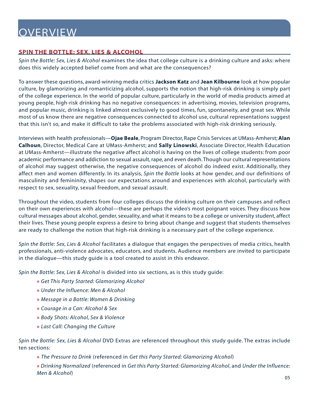# <span id="page-4-0"></span>**OVERVIEW**

#### **[SPIN THE BOTTLE: SEX, LIES & ALCOHOL](http://www.mediaed.org/videos/MediaAndHealth/SpinTheBottle)**

*[Spin the Bottle: Sex, Lies & Alcohol](http://www.mediaed.org/videos/MediaAndHealth/SpinTheBottle)* examines the idea that college culture is a drinking culture and asks: where does this widely accepted belief come from and what are the consequences?

To answer these questions, award-winning media critics **Jackson Katz** and **Jean Kilbourne** look at how popular culture, by glamorizing and romanticizing alcohol, supports the notion that high-risk drinking is simply part of the college experience. In the world of popular culture, particularly in the world of media products aimed at young people, high-risk drinking has no negative consequences: in advertising, movies, television programs, and popular music, drinking is linked almost exclusively to good times, fun, spontaneity, and great sex. While most of us know there are negative consequences connected to alcohol use, cultural representations suggest that this isn't so, and make it difficult to take the problems associated with high-risk drinking seriously.

Interviews with health professionals—**Ojae Beale**, Program Director, Rape Crisis Services at UMass-Amherst; **Alan Calhoun**, Director, Medical Care at UMass-Amherst; and **Sally Linowski**, Associate Director, Health Education at UMass-Amherst—illustrate the negative affect alcohol is having on the lives of college students: from poor academic performance and addiction to sexual assault, rape, and even death. Though our cultural representations of alcohol may suggest otherwise, the negative consequences of alcohol do indeed exist. Additionally, they affect men and women differently. In its analysis, *[Spin the Bottle](http://www.mediaed.org/videos/MediaAndHealth/SpinTheBottle)* looks at how gender, and our definitions of masculinity and femininity, shapes our expectations around and experiences with alcohol, particularly with respect to sex, sexuality, sexual freedom, and sexual assault.

Throughout the video, students from four colleges discuss the drinking culture on their campuses and reflect on their own experiences with alcohol—these are perhaps the video's most poignant voices. They discuss how cultural messages about alcohol, gender, sexuality, and what it means to be a college or university student, affect their lives. These young people express a desire to bring about change and suggest that students themselves are ready to challenge the notion that high-risk drinking is a necessary part of the college experience.

*[Spin the Bottle: Sex, Lies & Alcohol](http://www.mediaed.org/videos/MediaAndHealth/SpinTheBottle)* facilitates a dialogue that engages the perspectives of media critics, health professionals, anti-violence advocates, educators, and students. Audience members are invited to participate in the dialogue—this study guide is a tool created to assist in this endeavor.

*[Spin the Bottle: Sex, Lies & Alcohol](http://www.mediaed.org/videos/MediaAndHealth/SpinTheBottle)* is divided into six sections, as is this study guide:

- **»** *Get This Party Started: Glamorizing Alcohol*
- **»** *Under the Influence: Men & Alcohol*
- **»** *Message in a Bottle: Women & Drinking*
- **»** *Courage in a Can: Alcohol & Sex*
- **»** *Body Shots: Alcohol, Sex & Violence*
- **»** *Last Call: Changing the Culture*

*[Spin the Bottle: Sex, Lies & Alcohol](http://www.mediaed.org/videos/MediaAndHealth/SpinTheBottle)* DVD Extras are referenced throughout this study guide. The extras include ten sections:

**»** *The Pressure to Drink* (referenced in *Get this Party Started: Glamorizing Alcohol*)

**»** *Drinking Normalized* (referenced in *Get this Party Started: Glamorizing Alcohol*, and *Under the Influence: Men & Alcohol*)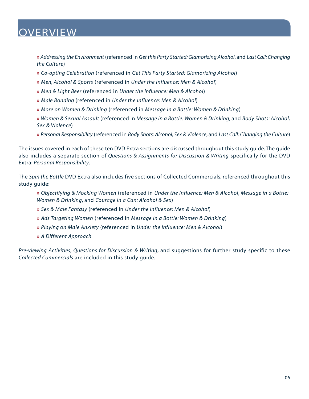# **OVERVIEW**

**»** *Addressing the Environment* (referenced in *Get this Party Started: Glamorizing Alcohol*, and *Last Call: Changing the Culture*)

- **»** *Co-opting Celebration* (referenced in *Get This Party Started: Glamorizing Alcohol*)
- **»** *Men, Alcohol & Sports* (referenced in *Under the Influence: Men & Alcohol*)
- **»** *Men & Light Beer* (referenced in *Under the Influence: Men & Alcohol*)
- **»** *Male Bonding* (referenced in *Under the Influence: Men & Alcohol*)
- **»** *More on Women & Drinking* (referenced in *Message in a Bottle: Women & Drinking*)
- **»** *Women & Sexual Assault* (referenced in *Message in a Bottle: Women & Drinking*, and *Body Shots: Alcohol, Sex & Violence*)
- **»** *Personal Responsibility* (referenced in *Body Shots: Alcohol, Sex & Violence*, and *Last Call: Changing the Culture*)

The issues covered in each of these ten DVD Extra sections are discussed throughout this study guide. The guide also includes a separate section of *Questions & Assignments for Discussion & Writing* specifically for the DVD Extra: *Personal Responsibility*.

The *[Spin the Bottle](http://www.mediaed.org/videos/MediaAndHealth/SpinTheBottle)* DVD Extra also includes five sections of Collected Commercials, referenced throughout this study guide:

**»** *Objectifying & Mocking Women* (referenced in *Under the Influence: Men & Alcohol*, *Message in a Bottle: Women & Drinking*, and *Courage in a Can: Alcohol & Sex*)

- **»** *Sex & Male Fantasy* (referenced in *Under the Influence: Men & Alcohol*)
- **»** *Ads Targeting Women* (referenced in *Message in a Bottle: Women & Drinking*)
- **»** *Playing on Male Anxiety* (referenced in *Under the Influence: Men & Alcohol*)
- **»** *A Different Approach*

*Pre-viewing Activities*, *Questions for Discussion & Writing*, and suggestions for further study specific to these *Collected Commercials* are included in this study guide.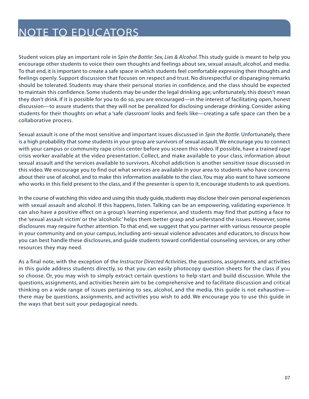# <span id="page-6-0"></span>NOTE TO EDUCATORS

Student voices play an important role in *[Spin the Bottle: Sex, Lies & Alcohol](http://www.mediaed.org/videos/MediaAndHealth/SpinTheBottle)*. This study guide is meant to help you encourage other students to voice their own thoughts and feelings about sex, sexual assault, alcohol, and media. To that end, it is important to create a safe space in which students feel comfortable expressing their thoughts and feelings openly. Support discussion that focuses on respect and trust. No disrespectful or disparaging remarks should be tolerated. Students may share their personal stories in confidence, and the class should be expected to maintain this confidence. Some students may be under the legal drinking age; unfortunately, this doesn't mean they don't drink. If it is possible for you to do so, you are encouraged—in the interest of facilitating open, honest discussion—to assure students that they will not be penalized for disclosing underage drinking. Consider asking students for their thoughts on what a 'safe classroom' looks and feels like—creating a safe space can then be a collaborative process.

Sexual assault is one of the most sensitive and important issues discussed in *[Spin the Bottle](http://www.mediaed.org/videos/MediaAndHealth/SpinTheBottle)*. Unfortunately, there is a high probability that some students in your group are survivors of sexual assault. We encourage you to connect with your campus or community rape crisis center before you screen this video. If possible, have a trained rape crisis worker available at the video presentation. Collect, and make available to your class, information about sexual assault and the services available to survivors. Alcohol addiction is another sensitive issue discussed in this video. We encourage you to find out what services are available in your area to students who have concerns about their use of alcohol, and to make this information available to the class. You may also want to have someone who works in this field present to the class, and if the presenter is open to it, encourage students to ask questions.

In the course of watching this video and using this study guide, students may disclose their own personal experiences with sexual assault and alcohol. If this happens, listen. Talking can be an empowering, validating experience. It can also have a positive effect on a group's learning experience, and students may find that putting a face to the 'sexual assault victim' or the 'alcoholic' helps them better grasp and understand the issues. However, some disclosures may require further attention. To that end, we suggest that you partner with various resource people in your community and on your campus, including anti-sexual violence advocates and educators, to discuss how you can best handle these disclosures, and guide students toward confidential counseling services, or any other resources they may need.

As a final note, with the exception of the *Instructor Directed Activities*, the questions, assignments, and activities in this guide address students directly, so that you can easily photocopy question sheets for the class if you so choose. Or, you may wish to simply extract certain questions to help start and build discussion. While the questions, assignments, and activities herein aim to be comprehensive and to facilitate discussion and critical thinking on a wide range of issues pertaining to sex, alcohol, and the media, this guide is not exhaustive there may be questions, assignments, and activities you wish to add. We encourage you to use this guide in the ways that best suit your pedagogical needs.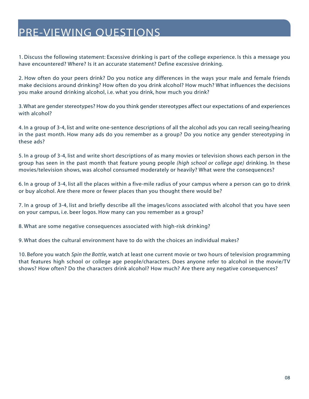### <span id="page-7-0"></span>PRE-VIEWING QUESTIONS

1. Discuss the following statement: Excessive drinking is part of the college experience. Is this a message you have encountered? Where? Is it an accurate statement? Define excessive drinking.

2. How often do your peers drink? Do you notice any differences in the ways your male and female friends make decisions around drinking? How often do you drink alcohol? How much? What influences the decisions you make around drinking alcohol, i.e. what you drink, how much you drink?

3. What are gender stereotypes? How do you think gender stereotypes affect our expectations of and experiences with alcohol?

4. In a group of 3-4, list and write one-sentence descriptions of all the alcohol ads you can recall seeing/hearing in the past month. How many ads do you remember as a group? Do you notice any gender stereotyping in these ads?

5. In a group of 3-4, list and write short descriptions of as many movies or television shows each person in the group has seen in the past month that feature young people *(high school or college age)* drinking. In these movies/television shows, was alcohol consumed moderately or heavily? What were the consequences?

6. In a group of 3-4, list all the places within a five-mile radius of your campus where a person can go to drink or buy alcohol. Are there more or fewer places than you thought there would be?

7. In a group of 3-4, list and briefly describe all the images/icons associated with alcohol that you have seen on your campus, i.e. beer logos. How many can you remember as a group?

8. What are some negative consequences associated with high-risk drinking?

9. What does the cultural environment have to do with the choices an individual makes?

10. Before you watch *Spin the Bottle*, watch at least one current movie or two hours of television programming that features high school or college age people/characters. Does anyone refer to alcohol in the movie/TV shows? How often? Do the characters drink alcohol? How much? Are there any negative consequences?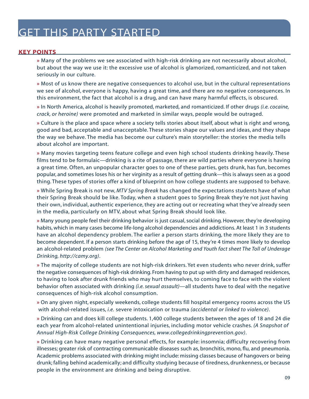#### <span id="page-8-0"></span>**KEY POINTS**

**»** Many of the problems we see associated with high-risk drinking are not necessarily about alcohol, but about the way we use it: the excessive use of alcohol is glamorized, romanticized, and not taken seriously in our culture.

**»** Most of us know there are negative consequences to alcohol use, but in the cultural representations we see of alcohol, everyone is happy, having a great time, and there are no negative consequences. In this environment, the fact that alcohol is a drug, and can have many harmful effects, is obscured.

**»** In North America, alcohol is heavily promoted, marketed, and romanticized. If other drugs *(i.e. cocaine, crack, or heroine)* were promoted and marketed in similar ways, people would be outraged.

**»** Culture is the place and space where a society tells stories about itself, about what is right and wrong, good and bad, acceptable and unacceptable. These stories shape our values and ideas, and they shape the way we behave. The media has become our culture's main storyteller: the stories the media tells about alcohol are important.

**»** Many movies targeting teens feature college and even high school students drinking heavily. These films tend to be formulaic—drinking is a rite of passage, there are wild parties where everyone is having a great time. Often, an unpopular character goes to one of these parties, gets drunk, has fun, becomes popular, and sometimes loses his or her virginity as a result of getting drunk—this is always seen as a good thing. These types of stories offer a kind of blueprint on how college students are supposed to behave.

**»** While Spring Break is not new, *MTV Spring Break* has changed the expectations students have of what their Spring Break should be like. Today, when a student goes to Spring Break they're not just having their own, individual, authentic experience, they are acting out or recreating what they've already seen in the media, particularly on MTV, about what Spring Break should look like.

**»** Many young people feel their drinking behavior is just casual, social drinking. However, they're developing habits, which in many cases become life-long alcohol dependencies and addictions. At least 1 in 3 students have an alcohol dependency problem. The earlier a person starts drinking, the more likely they are to become dependent. If a person starts drinking before the age of 15, they're 4 times more likely to develop an alcohol-related problem *[\(see The Center on Alcohol Marketing and Youth fact sheet The Toll of Underage](http://camy.org) [Drinking, http://camy.org\)](http://camy.org)*.

**»** The majority of college students are not high-risk drinkers. Yet even students who never drink, suffer the negative consequences of high-risk drinking. From having to put up with dirty and damaged residences, to having to look after drunk friends who may hurt themselves, to coming face to face with the violent behavior often associated with drinking *(i.e. sexual assault)*—all students have to deal with the negative consequences of high-risk alcohol consumption.

**»** On any given night, especially weekends, college students fill hospital emergency rooms across the US with alcohol-related issues, *i.e.* severe intoxication or trauma *(accidental or linked to violence)*.

**»** Drinking can and does kill college students. 1,400 college students between the ages of 18 and 24 die each year from alcohol-related unintentional injuries, including motor vehicle crashes. *[\(A Snapshot of](http://www.collegedrinkingprevention.gov)  [Annual High-Risk College Drinking Consequences, www.collegedrinkingprevention.gov\)](http://www.collegedrinkingprevention.gov)*.

**»** Drinking can have many negative personal effects, for example: insomnia; difficulty recovering from illnesses; greater risk of contracting communicable diseases such as, bronchitis, mono, flu, and pneumonia. Academic problems associated with drinking might include: missing classes because of hangovers or being drunk; falling behind academically; and difficulty studying because of tiredness, drunkenness, or because people in the environment are drinking and being disruptive.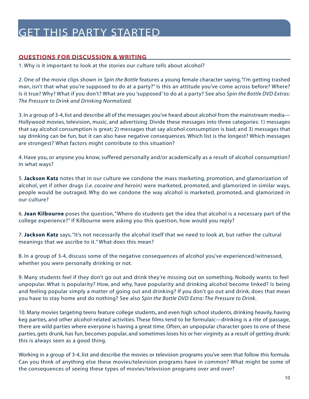#### <span id="page-9-0"></span>**QUESTIONS FOR DISCUSSION & WRITING**

1. Why is it important to look at the stories our culture tells about alcohol?

2. One of the movie clips shown in *Spin the Bottle* features a young female character saying, "I'm getting trashed man, isn't that what you're supposed to do at a party?" Is this an attitude you've come across before? Where? Is it true? Why? What if you don't? What are you 'supposed' to do at a party? See also *Spin the Bottle DVD Extras: The Pressure to Drink and Drinking Normalized.*

3. In a group of 3-4, list and describe all of the messages you've heard about alcohol from the mainstream media— Hollywood movies, television, music, and advertising. Divide these messages into three categories: 1) messages that say alcohol consumption is great; 2) messages that say alcohol consumption is bad; and 3) messages that say drinking can be fun, but it can also have negative consequences. Which list is the longest? Which messages are strongest? What factors might contribute to this situation?

4. Have you, or anyone you know, suffered personally and/or academically as a result of alcohol consumption? In what ways?

5. **Jackson Katz** notes that in our culture we condone the mass marketing, promotion, and glamorization of alcohol, yet if other drugs *(i.e. cocaine and heroin)* were marketed, promoted, and glamorized in similar ways, people would be outraged. Why do we condone the way alcohol is marketed, promoted, and glamorized in our culture?

6. **Jean Kilbourne** poses the question,"Where do students get the idea that alcohol is a necessary part of the college experience?" If Kilbourne were asking you this question, how would you reply?

7. **Jackson Katz** says, "It's not necessarily the alcohol itself that we need to look at, but rather the cultural meanings that we ascribe to it." What does this mean?

8. In a group of 3-4, discuss some of the negative consequences of alcohol you've experienced/witnessed, whether you were personally drinking or not.

9. Many students feel if they don't go out and drink they're missing out on something. Nobody wants to feel unpopular. What is popularity? How, and why, have popularity and drinking alcohol become linked? Is being and feeling popular simply a matter of going out and drinking? If you don't go out and drink, does that mean you have to stay home and do nothing? See also *Spin the Bottle DVD Extra: The Pressure to Drink*.

10. Many movies targeting teens feature college students, and even high school students, drinking heavily, having keg parties, and other alcohol-related activities. These films tend to be formulaic—drinking is a rite of passage, there are wild parties where everyone is having a great time. Often, an unpopular character goes to one of these parties, gets drunk, has fun, becomes popular, and sometimes loses his or her virginity as a result of getting drunk: this is always seen as a good thing.

Working in a group of 3-4, list and describe the movies or television programs you've seen that follow this formula. Can you think of anything else these movies/television programs have in common? What might be some of the consequences of seeing these types of movies/television programs over and over?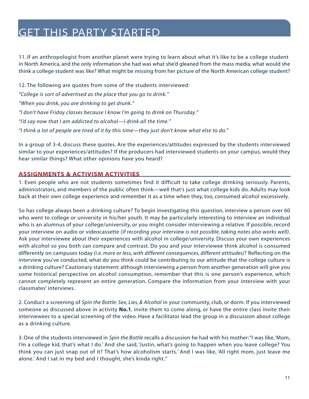<span id="page-10-0"></span>11. If an anthropologist from another planet were trying to learn about what it's like to be a college student in North America, and the only information she had was what she'd gleaned from the mass media, what would she think a college student was like? What might be missing from her picture of the North American college student?

12. The following are quotes from some of the students interviewed: *"College is sort of advertised as the place that you go to drink." "When you drink, you are drinking to get drunk." "I don't have Friday classes because I know I'm going to drink on Thursday." "I'd say now that I am addicted to alcohol—I drink all the time." "I think a lot of people are tired of it by this time—they just don't know what else to do."*

In a group of 3-4, discuss these quotes. Are the experiences/attitudes expressed by the students interviewed similar to your experiences/attitudes? If the producers had interviewed students on your campus, would they hear similar things? What other opinions have you heard?

#### **ASSIGNMENTS & ACTIVISM ACTIVITIES**

1. Even people who are not students sometimes find it difficult to take college drinking seriously. Parents, administrators, and members of the public often think—well that's just what college kids do. Adults may look back at their own college experience and remember it as a time when they, too, consumed alcohol excessively.

So has college always been a drinking culture? To begin investigating this question, interview a person over 60 who went to college or university in his/her youth. It may be particularly interesting to interview an individual who is an alumnus of your college/university, or you might consider interviewing a relative. If possible, record your interview on audio or videocassette *(if recording your interview is not possible, taking notes also works well)*. Ask your interviewee about their experiences with alcohol in college/university. Discuss your own experiences with alcohol so you both can compare and contrast. Do you and your interviewee think alcohol is consumed differently on campuses today *(i.e. more or less, with different consequences, different attitudes)*? Reflecting on the interview you've conducted, what do you think could be contributing to our attitude that the college culture is a drinking culture? Cautionary statement: although interviewing a person from another generation will give you some historical perspective on alcohol consumption, remember that this is one person's experience, which cannot completely represent an entire generation. Compare the information from your interview with your classmates' interviews.

2. Conduct a screening of *Spin the Bottle: Sex, Lies, & Alcohol* in your community, club, or dorm. If you interviewed someone as discussed above in activity **No.1**, invite them to come along, or have the entire class invite their interviewees to a special screening of the video. Have a facilitator lead the group in a discussion about college as a drinking culture.

3. One of the students interviewed in *Spin the Bottle* recalls a discussion he had with his mother:"I was like,'Mom, I'm a college kid, that's what I do.' And she said, 'Justin, what's going to happen when you leave college? You think you can just snap out of it? That's how alcoholism starts.' And I was like, 'All right mom, just leave me alone.' And I sat in my bed and I thought, she's kinda right."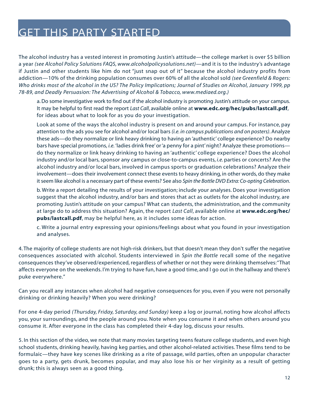The alcohol industry has a vested interest in promoting Justin's attitude—the college market is over \$5 billion a year *[\(see Alcohol Policy Solutions FAQS, www.alcoholpolicysolutions.net\)](http://www.alcoholpolicysolutions.net)*—and it is to the industry's advantage if Justin and other students like him do not "just snap out of it" because the alcohol industry profits from addiction—10% of the drinking population consumes over 60% of all the alcohol sold *(see Greenfield & Rogers: Who drinks most of the alcohol in the US? The Policy Implications; Journal of Studies on Alcohol, January 1999, pp 78-89, and [Deadly Persuasion: The Advertising of Alcohol & Tobacco, www.mediaed.org.\)](http://www.mediaed.org)*

a. Do some investigative work to find out if the alcohol industry is promoting Justin's attitude on your campus. It may be helpful to first read the report *Last Call*, available online at **[www.edc.org/hec/pubs/lastcall.pdf](http://www.edc.org/hec/pubs/lastcall.pdf)**, for ideas about what to look for as you do your investigation.

Look at some of the ways the alcohol industry is present on and around your campus. For instance, pay attention to the ads you see for alcohol and/or local bars *(i.e. in campus publications and on posters)*. Analyze these ads—do they normalize or link heavy drinking to having an 'authentic' college experience? Do nearby bars have special promotions, *i.e.* 'ladies drink free' or 'a penny for a pint' night? Analyze these promotions do they normalize or link heavy drinking to having an 'authentic' college experience? Does the alcohol industry and/or local bars, sponsor any campus or close-to-campus events, *i.e.* parties or concerts? Are the alcohol industry and/or local bars, involved in campus sports or graduation celebrations? Analyze their involvement—does their involvement connect these events to heavy drinking, in other words, do they make it seem like alcohol is a necessary part of these events? See also *Spin the Bottle DVD Extra: Co-opting Celebration*.

b. Write a report detailing the results of your investigation; include your analyses. Does your investigation suggest that the alcohol industry, and/or bars and stores that act as outlets for the alcohol industry, are promoting Justin's attitude on your campus? What can students, the administration, and the community at large do to address this situation? Again, the report *Last Call*, available online at **[www.edc.org/hec/](http://www.edc.org/hec/pubs/lastcall.pdf) [pubs/lastcall.pdf](http://www.edc.org/hec/pubs/lastcall.pdf)**, may be helpful here, as it includes some ideas for action.

c. Write a journal entry expressing your opinions/feelings about what you found in your investigation and analyses.

4. The majority of college students are not high-risk drinkers, but that doesn't mean they don't suffer the negative consequences associated with alcohol. Students interviewed in *Spin the Bottle* recall some of the negative consequences they've observed/experienced, regardless of whether or not they were drinking themselves:"That affects everyone on the weekends. I'm trying to have fun, have a good time, and I go out in the hallway and there's puke everywhere."

Can you recall any instances when alcohol had negative consequences for you, even if you were not personally drinking or drinking heavily? When you were drinking?

For one 4-day period *(Thursday, Friday, Saturday, and Sunday)* keep a log or journal, noting how alcohol affects you, your surroundings, and the people around you. Note when you consume it and when others around you consume it. After everyone in the class has completed their 4-day log, discuss your results.

5. In this section of the video, we note that many movies targeting teens feature college students, and even high school students, drinking heavily, having keg parties, and other alcohol-related activities. These films tend to be formulaic—they have key scenes like drinking as a rite of passage, wild parties, often an unpopular character goes to a party, gets drunk, becomes popular, and may also lose his or her virginity as a result of getting drunk; this is always seen as a good thing.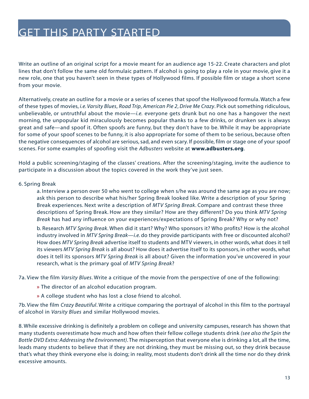Write an outline of an original script for a movie meant for an audience age 15-22. Create characters and plot lines that don't follow the same old formulaic pattern. If alcohol is going to play a role in your movie, give it a new role, one that you haven't seen in these types of Hollywood films. If possible film or stage a short scene from your movie.

Alternatively, create an outline for a movie or a series of scenes that spoof the Hollywood formula. Watch a few of these types of movies, *i.e. Varsity Blues*, *Road Trip*, *American Pie 2*, *Drive Me Crazy*. Pick out something ridiculous, unbelievable, or untruthful about the movie—*i.e.* everyone gets drunk but no one has a hangover the next morning, the unpopular kid miraculously becomes popular thanks to a few drinks, or drunken sex is always great and safe—and spoof it. Often spoofs are funny, but they don't have to be. While it may be appropriate for some of your spoof scenes to be funny, it is also appropriate for some of them to be serious, because often the negative consequences of alcohol are serious, sad, and even scary. If possible, film or stage one of your spoof scenes. For some examples of spoofing visit the *Adbusters* website at **[www.adbusters.org](http://www.adbusters.org)**.

Hold a public screening/staging of the classes' creations. After the screening/staging, invite the audience to participate in a discussion about the topics covered in the work they've just seen.

#### 6. Spring Break

a. Interview a person over 50 who went to college when s/he was around the same age as you are now; ask this person to describe what his/her Spring Break looked like. Write a description of your Spring Break experiences. Next write a description of *MTV Spring Break*. Compare and contrast these three descriptions of Spring Break. How are they similar? How are they different? Do you think *MTV Spring Break* has had any influence on your experiences/expectations of Spring Break? Why or why not?

b. Research *MTV Spring Break*. When did it start? Why? Who sponsors it? Who profits? How is the alcohol industry involved in *MTV Spring Break*—*i.e.* do they provide participants with free or discounted alcohol? How does *MTV Spring Break* advertise itself to students and MTV viewers, in other words, what does it tell its viewers *MTV Spring Break* is all about? How does it advertise itself to its sponsors, in other words, what does it tell its sponsors *MTV Spring Break* is all about? Given the information you've uncovered in your research, what is the primary goal of *MTV Spring Break*?

7a. View the film *Varsity Blues*. Write a critique of the movie from the perspective of one of the following:

- **»** The director of an alcohol education program.
- **»** A college student who has lost a close friend to alcohol.

7b. View the film *Crazy Beautiful*. Write a critique comparing the portrayal of alcohol in this film to the portrayal of alcohol in *Varsity Blues* and similar Hollywood movies.

8. While excessive drinking is definitely a problem on college and university campuses, research has shown that many students overestimate how much and how often their fellow college students drink *(see also the Spin the Bottle DVD Extra: Addressing the Environment)*. The misperception that everyone else is drinking a lot, all the time, leads many students to believe that if they are not drinking, they must be missing out, so they drink because that's what they think everyone else is doing; in reality, most students don't drink all the time nor do they drink excessive amounts.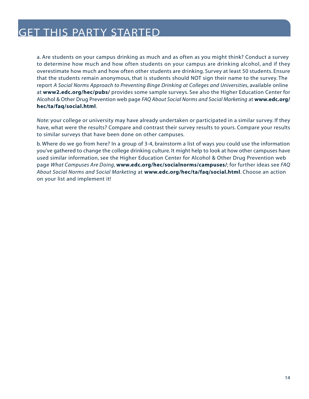a. Are students on your campus drinking as much and as often as you might think? Conduct a survey to determine how much and how often students on your campus are drinking alcohol, and if they overestimate how much and how often other students are drinking. Survey at least 50 students. Ensure that the students remain anonymous, that is students should NOT sign their name to the survey. The report *A Social Norms Approach to Preventing Binge Drinking at Colleges and Universities*, available online at **[www2.edc.org/hec/pubs/](http://www2.edc.org/hec/pubs/)** provides some sample surveys. See also the Higher Education Center for Alcohol & Other Drug Prevention web page *FAQ About Social Norms and Social Marketing* at **[www.edc.org/](http://www2.edc.org/hec/ta/faq/social.html) [hec/ta/faq/social.html](http://www2.edc.org/hec/ta/faq/social.html)**.

*Note:* your college or university may have already undertaken or participated in a similar survey. If they have, what were the results? Compare and contrast their survey results to yours. Compare your results to similar surveys that have been done on other campuses.

b. Where do we go from here? In a group of 3-4, brainstorm a list of ways you could use the information you've gathered to change the college drinking culture. It might help to look at how other campuses have used similar information, see the Higher Education Center for Alcohol & Other Drug Prevention web page *What Campuses Are Doing*, **[www.edc.org/hec/socialnorms/campuses/](http://www2.edc.org/hec/socialnorms/campuses/)**; for further ideas see *FAQ About Social Norms and Social Marketing* at **[www.edc.org/hec/ta/faq/social.html](http://www2.edc.org/hec/ta/faq/social.html)**. Choose an action on your list and implement it!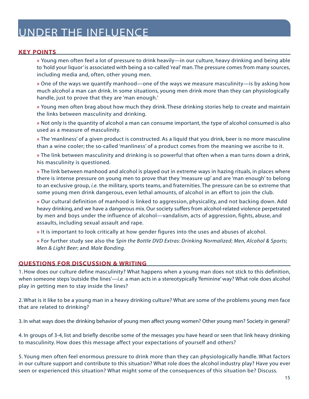#### <span id="page-14-0"></span>**KEY POINTS**

**»** Young men often feel a lot of pressure to drink heavily—in our culture, heavy drinking and being able to 'hold your liquor' is associated with being a so-called 'real' man. The pressure comes from many sources, including media and, often, other young men.

**»** One of the ways we quantify manhood—one of the ways we measure masculinity—is by asking how much alcohol a man can drink. In some situations, young men drink more than they can physiologically handle, just to prove that they are 'man enough.'

**»** Young men often brag about how much they drink. These drinking stories help to create and maintain the links between masculinity and drinking.

**»** Not only is the quantity of alcohol a man can consume important, the type of alcohol consumed is also used as a measure of masculinity.

**»** The 'manliness' of a given product is constructed. As a liquid that you drink, beer is no more masculine than a wine cooler; the so-called 'manliness' of a product comes from the meaning we ascribe to it.

**»** The link between masculinity and drinking is so powerful that often when a man turns down a drink, his masculinity is questioned.

**»** The link between manhood and alcohol is played out in extreme ways in hazing rituals, in places where there is intense pressure on young men to prove that they 'measure up' and are 'man enough' to belong to an exclusive group, *i.e.* the military, sports teams, and fraternities. The pressure can be so extreme that some young men drink dangerous, even lethal amounts, of alcohol in an effort to join the club.

**»** Our cultural definition of manhood is linked to aggression, physicality, and not backing down. Add heavy drinking, and we have a dangerous mix. Our society suffers from alcohol-related violence perpetrated by men and boys under the influence of alcohol—vandalism, acts of aggression, fights, abuse, and assaults, including sexual assault and rape.

**»** It is important to look critically at how gender figures into the uses and abuses of alcohol.

**»** For further study see also the *Spin the Bottle DVD Extras: Drinking Normalized*; *Men, Alcohol & Sports*; *Men & Light Beer*; and *Male Bonding*.

#### **QUESTIONS FOR DISCUSSION & WRITING**

1. How does our culture define masculinity? What happens when a young man does not stick to this definition, when someone steps 'outside the lines'—*i.e.* a man acts in a stereotypically 'feminine' way? What role does alcohol play in getting men to stay inside the lines?

2. What is it like to be a young man in a heavy drinking culture? What are some of the problems young men face that are related to drinking?

3. In what ways does the drinking behavior of young men affect young women? Other young men? Society in general?

4. In groups of 3-4, list and briefly describe some of the messages you have heard or seen that link heavy drinking to masculinity. How does this message affect your expectations of yourself and others?

5. Young men often feel enormous pressure to drink more than they can physiologically handle. What factors in our culture support and contribute to this situation? What role does the alcohol industry play? Have you ever seen or experienced this situation? What might some of the consequences of this situation be? Discuss.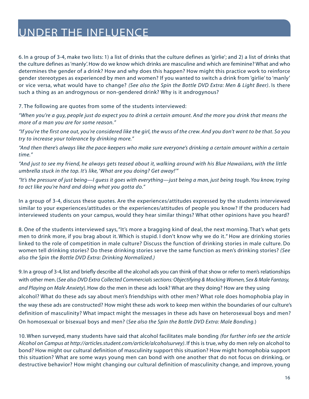6. In a group of 3-4, make two lists: 1) a list of drinks that the culture defines as 'girlie'; and 2) a list of drinks that the culture defines as 'manly'. How do we know which drinks are masculine and which are feminine? What and who determines the gender of a drink? How and why does this happen? How might this practice work to reinforce gender stereotypes as experienced by men and women? If you wanted to switch a drink from 'girlie' to 'manly' or vice versa, what would have to change? *(See also the Spin the Bottle DVD Extra: Men & Light Beer)*. Is there such a thing as an androgynous or non-gendered drink? Why is it androgynous?

7. The following are quotes from some of the students interviewed:

*"When you're a guy, people just do expect you to drink a certain amount. And the more you drink that means the more of a man you are for some reason."*

*"If you're the first one out, you're considered like the girl, the wuss of the crew. And you don't want to be that. So you try to increase your tolerance by drinking more."*

*"And then there's always like the pace-keepers who make sure everyone's drinking a certain amount within a certain time."*

*"And just to see my friend, he always gets teased about it, walking around with his Blue Hawaiians, with the little umbrella stuck in the top. It's like, 'What are you doing? Get away!'"*

*"It's the pressure of just being—I guess it goes with everything—just being a man, just being tough. You know, trying to act like you're hard and doing what you gotta do."*

In a group of 3-4, discuss these quotes. Are the experiences/attitudes expressed by the students interviewed similar to your experiences/attitudes or the experiences/attitudes of people you know? If the producers had interviewed students on your campus, would they hear similar things? What other opinions have you heard?

8. One of the students interviewed says, "It's more a bragging kind of deal, the next morning. That's what gets men to drink more, if you brag about it. Which is stupid. I don't know why we do it." How are drinking stories linked to the role of competition in male culture? Discuss the function of drinking stories in male culture. Do women tell drinking stories? Do these drinking stories serve the same function as men's drinking stories? *(See also the Spin the Bottle DVD Extra: Drinking Normalized.)*

9. In a group of 3-4, list and briefly describe all the alcohol ads you can think of that show or refer to men's relationships with other men. (See also DVD Extra Collected Commercials sections: Objectifying & Mocking Women, Sex & Male Fantasy, and Playing on Male Anxiety). How do the men in these ads look? What are they doing? How are they using alcohol? What do these ads say about men's friendships with other men? What role does homophobia play in the way these ads are constructed? How might these ads work to keep men within the boundaries of our culture's definition of masculinity? What impact might the messages in these ads have on heterosexual boys and men? On homosexual or bisexual boys and men? (See also the Spin the Bottle DVD Extra: Male Bonding.)

10. When surveyed, many students have said that alcohol facilitates male bonding *[\(for further info see the article](http://articles.student.com/article/alcoholsurvey)  [Alcohol on Campus at http://articles.student.com/article/alcoholsurvey\)](http://articles.student.com/article/alcoholsurvey)*. If this is true, why do men rely on alcohol to bond? How might our cultural definition of masculinity support this situation? How might homophobia support this situation? What are some ways young men can bond with one another that do not focus on drinking, or destructive behavior? How might changing our cultural definition of masculinity change, and improve, young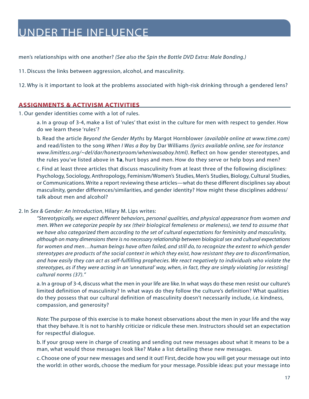<span id="page-16-0"></span>men's relationships with one another? *(See also the Spin the Bottle DVD Extra: Male Bonding.)*

11. Discuss the links between aggression, alcohol, and masculinity.

12. Why is it important to look at the problems associated with high-risk drinking through a gendered lens?

#### **ASSIGNMENTS & ACTIVISM ACTIVITIES**

1. Our gender identities come with a lot of rules.

a. In a group of 3-4, make a list of 'rules' that exist in the culture for men with respect to gender. How do we learn these 'rules'?

b. Read the article *Beyond the Gender Myths* by Margot Hornblower *[\(available online at www.time.com\)](http://www.time.com)*  and read/listen to the song *When I Was a Boy* by Dar Williams *[\(lyrics available online, see for instance](http://www.limitless.org/~del/dar/honestyroom/wheniwasaboy.html)  [www.limitless.org/~del/dar/honestyroom/wheniwasaboy.html\)](http://www.limitless.org/~del/dar/honestyroom/wheniwasaboy.html)*. Reflect on how gender stereotypes, and the rules you've listed above in **1a**, hurt boys and men. How do they serve or help boys and men?

c. Find at least three articles that discuss masculinity from at least three of the following disciplines: Psychology, Sociology, Anthropology, Feminism/Women's Studies, Men's Studies, Biology, Cultural Studies, or Communications. Write a report reviewing these articles—what do these different disciplines say about masculinity, gender differences/similarities, and gender identity? How might these disciplines address/ talk about men and alcohol?

#### 2. In *Sex & Gender: An Introduction*, Hilary M. Lips writes:

*"Stereotypically, we expect different behaviors, personal qualities, and physical appearance from women and men. When we categorize people by sex (their biological femaleness or maleness), we tend to assume that we have also categorized them according to the set of cultural expectations for femininity and masculinity, although on many dimensions there is no necessary relationship between biological sex and cultural expectations for women and men…human beings have often failed, and still do, to recognize the extent to which gender stereotypes are products of the social context in which they exist, how resistant they are to disconfirmation, and how easily they can act as self-fulfilling prophecies. We react negatively to individuals who violate the stereotypes, as if they were acting in an 'unnatural' way, when, in fact, they are simply violating [or resisting] cultural norms (37)."*

a. In a group of 3-4, discuss what the men in your life are like. In what ways do these men resist our culture's limited definition of masculinity? In what ways do they follow the culture's definition? What qualities do they possess that our cultural definition of masculinity doesn't necessarily include, *i.e.* kindness, compassion, and generosity?

*Note:* The purpose of this exercise is to make honest observations about the men in your life and the way that they behave. It is not to harshly criticize or ridicule these men. Instructors should set an expectation for respectful dialogue.

b. If your group were in charge of creating and sending out new messages about what it means to be a man, what would those messages look like? Make a list detailing these new messages.

c. Choose one of your new messages and send it out! First, decide how you will get your message out into the world: in other words, choose the medium for your message. Possible ideas: put your message into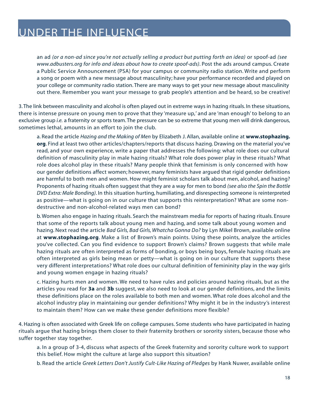an ad *(or a non-ad since you're not actually selling a product but putting forth an idea)* or spoof-ad *(see www.adbusters.org for info and ideas about how to create spoof-ads)*. Post the ads around campus. Create a Public Service Announcement (PSA) for your campus or community radio station. Write and perform a song or poem with a new message about masculinity; have your performance recorded and played on your college or community radio station. There are many ways to get your new message about masculinity out there. Remember you want your message to grab people's attention and be heard, so be creative!

3. The link between masculinity and alcohol is often played out in extreme ways in hazing rituals. In these situations, there is intense pressure on young men to prove that they 'measure up,' and are 'man enough' to belong to an exclusive group *i.e.* a fraternity or sports team. The pressure can be so extreme that young men will drink dangerous, sometimes lethal, amounts in an effort to join the club.

a. Read the article *Hazing and the Making of Men* by Elizabeth J. Allan, available online at **[www.stophazing.](http://www.stophazing.org) [org](http://www.stophazing.org)**. Find at least two other articles/chapters/reports that discuss hazing. Drawing on the material you've read, and your own experience, write a paper that addresses the following: what role does our cultural definition of masculinity play in male hazing rituals? What role does power play in these rituals? What role does alcohol play in these rituals? Many people think that feminism is only concerned with how our gender definitions affect women; however, many feminists have argued that rigid gender definitions are harmful to both men and women. How might feminist scholars talk about men, alcohol, and hazing? Proponents of hazing rituals often suggest that they are a way for men to bond *(see also the Spin the Bottle DVD Extra: Male Bonding)*. In this situation hurting, humiliating, and disrespecting someone is reinterpreted as positive—what is going on in our culture that supports this reinterpretation? What are some nondestructive and non-alcohol-related ways men can bond?

b. Women also engage in hazing rituals. Search the mainstream media for reports of hazing rituals. Ensure that some of the reports talk about young men and hazing, and some talk about young women and hazing. Next read the article *Bad Girls, Bad Girls, Whatcha Gonna Do?* by Lyn Mikel Brown, available online at **[www.stophazing.org](http://www.stophazing.org)**. Make a list of Brown's main points. Using these points, analyze the articles you've collected. Can you find evidence to support Brown's claims? Brown suggests that while male hazing rituals are often interpreted as forms of bonding, or boys being boys, female hazing rituals are often interpreted as girls being mean or petty—what is going on in our culture that supports these very different interpretations? What role does our cultural definition of femininity play in the way girls and young women engage in hazing rituals?

c. Hazing hurts men and women. We need to have rules and policies around hazing rituals, but as the articles you read for **3a** and **3b** suggest, we also need to look at our gender definitions, and the limits these definitions place on the roles available to both men and women. What role does alcohol and the alcohol industry play in maintaining our gender definitions? Why might it be in the industry's interest to maintain them? How can we make these gender definitions more flexible?

4. Hazing is often associated with Greek life on college campuses. Some students who have participated in hazing rituals argue that hazing brings them closer to their fraternity brothers or sorority sisters, because those who suffer together stay together.

a. In a group of 3-4, discuss what aspects of the Greek fraternity and sorority culture work to support this belief. How might the culture at large also support this situation?

b. Read the article *Greek Letters Don't Justify Cult-Like Hazing of Pledges* by Hank Nuwer, available online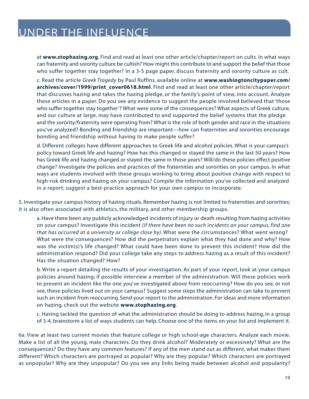at **[www.stophazing.org](http://www.stophazing.org)**. Find and read at least one other article/chapter/report on cults. In what ways can fraternity and sorority culture be cultish? How might this contribute to and support the belief that those who suffer together stay together? In a 3-5 page paper, discuss fraternity and sorority culture as cult.

c. Read the article *Greek Tragedy* by Paul Ruffins, available online at **[www.washingtoncitypaper.com/](http://www.washingtoncitypaper.com/archives/cover/1999/print_cover0618.html) [archives/cover/1999/print\\_cover0618.html](http://www.washingtoncitypaper.com/archives/cover/1999/print_cover0618.html)**. Find and read at least one other article/chapter/report that discusses hazing and takes the hazing pledge, or the family's point of view, into account. Analyze these articles in a paper. Do you see any evidence to suggest the people involved believed that 'those who suffer together stay together'? What were some of the consequences? What aspects of Greek culture, and our culture at large, may have contributed to and supported the belief systems that the pledge and the sorority/fraternity were operating from? What is the role of both gender and race in the situations you've analyzed? Bonding and friendship are important—how can fraternities and sororities encourage bonding and friendship without having to make people suffer?

d. Different colleges have different approaches to Greek life and alcohol policies. What is your campus's policy toward Greek life and hazing? How has this changed or stayed the same in the last 50 years? How has Greek life and hazing changed or stayed the same in those years? Will/do these policies effect positive change? Investigate the policies and practices of the fraternities and sororities on your campus. In what ways are students involved with these groups working to bring about positive change with respect to high-risk drinking and hazing on your campus? Compile the information you've collected and analyzed in a report; suggest a best-practice approach for your own campus to incorporate.

5. Investigate your campus history of hazing rituals. Remember hazing is not limited to fraternities and sororities; it is also often associated with athletics, the military, and other membership groups.

a. Have there been any publicly acknowledged incidents of injury or death resulting from hazing activities on your campus? Investigate this incident *(if there have been no such incidents on your campus, find one that has occurred at a university or college close by)*. What were the circumstances? What went wrong? What were the consequences? How did the perpetrators explain what they had done and why? How was the victim(s)'s life changed? What could have been done to prevent this incident? How did the administration respond? Did your college take any steps to address hazing as a result of this incident? Has the situation changed? How?

b. Write a report detailing the results of your investigation. As part of your report, look at your campus policies around hazing; if possible interview a member of the administration. Will these policies work to prevent an incident like the one you've investigated above from reoccurring? How do you see, or not see, these policies lived out on your campus? Suggest some steps the administration can take to prevent such an incident from reoccurring. Send your report to the administration. For ideas and more information on hazing, check out the website **[www.stophazing.org](http://www.stophazing.org)**.

c. Having tackled the question of what the administration should be doing to address hazing, in a group of 3-4, brainstorm a list of ways students can help. Choose one of the items on your list and implement it.

6a. View at least two current movies that feature college or high school-age characters. Analyze each movie. Make a list of all the young, male characters. Do they drink alcohol? Moderately or excessively? What are the consequences? Do they have any common features? If any of the men stand out as different, what makes them different? Which characters are portrayed as popular? Why are they popular? Which characters are portrayed as unpopular? Why are they unpopular? Do you see any links being made between alcohol and popularity?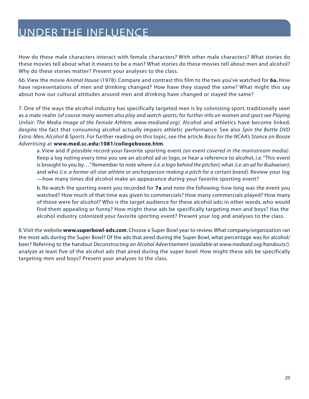How do these male characters interact with female characters? With other male characters? What stories do these movies tell about what it means to be a man? What stories do these movies tell about men and alcohol? Why do these stories matter? Present your analyses to the class.

6b. View the movie *Animal House* (1978). Compare and contrast this film to the two you've watched for **6a.** How have representations of men and drinking changed? How have they stayed the same? What might this say about how our cultural attitudes around men and drinking have changed or stayed the same?

7. One of the ways the alcohol industry has specifically targeted men is by colonizing sport, traditionally seen as a male realm *[\(of course many women also play and watch sports; for further info on women and sport see Playing](http://www.mediaed.org) [Unfair: The Media Image of the Female Athlete, www.mediaed.org\)](http://www.mediaed.org)*. Alcohol and athletics have become linked, despite the fact that consuming alcohol actually impairs athletic performance. See also *Spin the Bottle DVD Extra: Men, Alcohol & Sports*. For further reading on this topic, see the article *Boos for the NCAA's Stance on Booze Advertising* at **[www.med.sc.edu:1081/collegebooze.htm](http://www.med.sc.edu:1081/collegebooze.htm)**.

a. View and if possible record your favorite sporting event *(an event covered in the mainstream media)*. Keep a log noting every time you see an alcohol ad or logo, or hear a reference to alcohol, *i.e.*"This event is brought to you by…". Remember to note where *(i.e. a logo behind the pitcher)*; what *(i.e. an ad for Budweiser)*; and who *(i.e. a former all-star athlete or anchorperson making a pitch for a certain brand)*. Review your log —how many times did alcohol make an appearance during your favorite sporting event?

b. Re-watch the sporting event you recorded for **7a** and note the following: how long was the event you watched? How much of that time was given to commercials? How many commercials played? How many of those were for alcohol? Who is the target audience for these alcohol ads; in other words, who would find them appealing or funny? How might these ads be specifically targeting men and boys? Has the alcohol industry colonized your favorite sporting event? Present your log and analyses to the class.

8. Visit the website **[www.superbowl-ads.com](http://www.superbowl-ads.com)**. Choose a Super Bowl year to review. What company/organization ran the most ads during the Super Bowl? Of the ads that aired during the Super Bowl, what percentage was for alcohol/ beer? Referring to the handout *Deconstructing an Alcohol Advertisemen[t \(available at www.mediaed.org/handouts/\)](http://www.mediaed.org/handouts/)*, analyze at least five of the alcohol ads that aired during the super bowl. How might these ads be specifically targeting men and boys? Present your analyses to the class.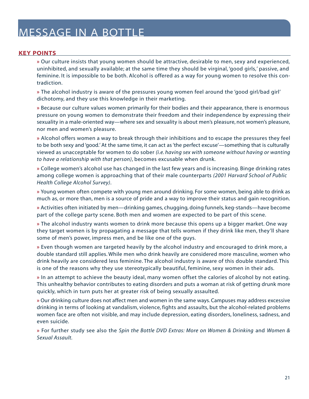#### <span id="page-20-0"></span>**KEY POINTS**

**»** Our culture insists that young women should be attractive, desirable to men, sexy and experienced, uninhibited, and sexually available; at the same time they should be virginal, 'good girls,' passive, and feminine. It is impossible to be both. Alcohol is offered as a way for young women to resolve this contradiction.

**»** The alcohol industry is aware of the pressures young women feel around the 'good girl/bad girl' dichotomy, and they use this knowledge in their marketing.

**»** Because our culture values women primarily for their bodies and their appearance, there is enormous pressure on young women to demonstrate their freedom and their independence by expressing their sexuality in a male-oriented way—where sex and sexuality is about men's pleasure, not women's pleasure, nor men and women's pleasure.

**»** Alcohol offers women a way to break through their inhibitions and to escape the pressures they feel to be both sexy and 'good.' At the same time, it can act as 'the perfect excuse'—something that is culturally viewed as unacceptable for women to do sober *(i.e. having sex with someone without having or wanting to have a relationship with that person)*, becomes excusable when drunk.

**»** College women's alcohol use has changed in the last few years and is increasing. Binge drinking rates among college women is approaching that of their male counterparts *(2001 Harvard School of Public Health College Alcohol Survey)*.

**»** Young women often compete with young men around drinking. For some women, being able to drink as much as, or more than, men is a source of pride and a way to improve their status and gain recognition.

**»** Activities often initiated by men—drinking games, chugging, doing funnels, keg-stands—have become part of the college party scene. Both men and women are expected to be part of this scene.

**»** The alcohol industry wants women to drink more because this opens up a bigger market. One way they target women is by propagating a message that tells women if they drink like men, they'll share some of men's power, impress men, and be like one of the guys.

**»** Even though women are targeted heavily by the alcohol industry and encouraged to drink more, a double standard still applies. While men who drink heavily are considered more masculine, women who drink heavily are considered less feminine. The alcohol industry is aware of this double standard. This is one of the reasons why they use stereotypically beautiful, feminine, sexy women in their ads.

**»** In an attempt to achieve the beauty ideal, many women offset the calories of alcohol by not eating. This unhealthy behavior contributes to eating disorders and puts a woman at risk of getting drunk more quickly, which in turn puts her at greater risk of being sexually assaulted.

**»** Our drinking culture does not affect men and women in the same ways. Campuses may address excessive drinking in terms of looking at vandalism, violence, fights and assaults, but the alcohol-related problems women face are often not visible, and may include depression, eating disorders, loneliness, sadness, and even suicide.

**»** For further study see also the *Spin the Bottle DVD Extras: More on Women & Drinking* and *Women & Sexual Assault.*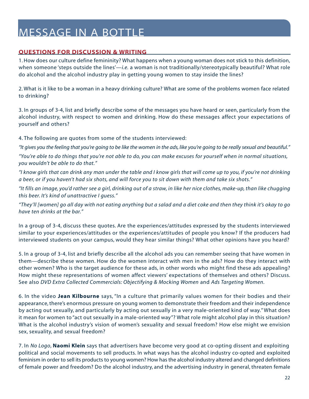#### <span id="page-21-0"></span>**QUESTIONS FOR DISCUSSION & WRITING**

1. How does our culture define femininity? What happens when a young woman does not stick to this definition, when someone 'steps outside the lines'—*i.e.* a woman is not traditionally/stereotypically beautiful? What role do alcohol and the alcohol industry play in getting young women to stay inside the lines?

2. What is it like to be a woman in a heavy drinking culture? What are some of the problems women face related to drinking?

3. In groups of 3-4, list and briefly describe some of the messages you have heard or seen, particularly from the alcohol industry, with respect to women and drinking. How do these messages affect your expectations of yourself and others?

4. The following are quotes from some of the students interviewed:

*"It gives you the feeling that you're going to be like the women in the ads, like you're going to be really sexual and beautiful."*

*"You're able to do things that you're not able to do, you can make excuses for yourself when in normal situations, you wouldn't be able to do that."*

*"I know girls that can drink any man under the table and I know girls that will come up to you, if you're not drinking a beer, or if you haven't had six shots, and will force you to sit down with them and take six shots."*

*"It fills an image, you'd rather see a girl, drinking out of a straw, in like her nice clothes, make-up, than like chugging this beer. It's kind of unattractive I guess."*

*"They'll [women] go all day with not eating anything but a salad and a diet coke and then they think it's okay to go have ten drinks at the bar."*

In a group of 3-4, discuss these quotes. Are the experiences/attitudes expressed by the students interviewed similar to your experiences/attitudes or the experiences/attitudes of people you know? If the producers had interviewed students on your campus, would they hear similar things? What other opinions have you heard?

5. In a group of 3-4, list and briefly describe all the alcohol ads you can remember seeing that have women in them—describe these women. How do the women interact with men in the ads? How do they interact with other women? Who is the target audience for these ads, in other words who might find these ads appealing? How might these representations of women affect viewers' expectations of themselves and others? Discuss. See also *DVD Extra Collected Commercials: Objectifying & Mocking Women* and *Ads Targeting Women*.

6. In the video **Jean Kilbourne** says, "In a culture that primarily values women for their bodies and their appearance, there's enormous pressure on young women to demonstrate their freedom and their independence by acting out sexually, and particularly by acting out sexually in a very male-oriented kind of way." What does it mean for women to "act out sexually in a male-oriented way"? What role might alcohol play in this situation? What is the alcohol industry's vision of women's sexuality and sexual freedom? How else might we envision sex, sexuality, and sexual freedom?

7. In *No Logo*, **Naomi Klein** says that advertisers have become very good at co-opting dissent and exploiting political and social movements to sell products. In what ways has the alcohol industry co-opted and exploited feminism in order to sell its products to young women? How has the alcohol industry altered and changed definitions of female power and freedom? Do the alcohol industry, and the advertising industry in general, threaten female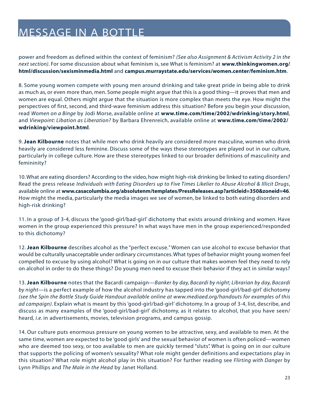power and freedom as defined within the context of feminism? *(See also Assignment & Activism Activity 2 in the next section)*. For some discussion about what feminism is, see What is feminism? at **[www.thinkingwomen.org/](http://www.thinkingwomen.org/html/discussion/sexisminmedia.html) [html/discussion/sexisminmedia.html](http://www.thinkingwomen.org/html/discussion/sexisminmedia.html)** and **[campus.murraystate.edu/services/women.center/feminism.htm](http://campus.murraystate.edu/services/women.center/feminism.htm)**.

8. Some young women compete with young men around drinking and take great pride in being able to drink as much as, or even more than, men. Some people might argue that this is a good thing—it proves that men and women are equal. Others might argue that the situation is more complex than meets the eye. How might the perspectives of first, second, and third-wave feminism address this situation? Before you begin your discussion, read *Women on a Binge* by Jodi Morse, available online at **[www.time.com/time/2002/wdrinking/story.html](http://www.time.com/time/2002/wdrinking/story.html)**, and *Viewpoint: Libation as Liberation?* by Barbara Ehrenreich, available online at **[www.time.com/time/2002/](http://www.time.com/time/2002/wdrinking/viewpoint.html) [wdrinking/viewpoint.html](http://www.time.com/time/2002/wdrinking/viewpoint.html)**.

9. **Jean Kilbourne** notes that while men who drink heavily are considered more masculine, women who drink heavily are considered less feminine. Discuss some of the ways these stereotypes are played out in our culture, particularly in college culture. How are these stereotypes linked to our broader definitions of masculinity and femininity?

10. What are eating disorders? According to the video, how might high-risk drinking be linked to eating disorders? Read the press release *Individuals with Eating Disorders up to Five Times Likelier to Abuse Alcohol & Illicit Drugs*, available online at **[www.casacolumbia.org/absolutenm/templates/PressReleases.asp?articleid=350&zoneid=46](http://www.casacolumia.org/absolutenm/templates/PressReleases.asp?articleid=350&zoneid=46)**. How might the media, particularly the media images we see of women, be linked to both eating disorders and high-risk drinking?

11. In a group of 3-4, discuss the 'good-girl/bad-girl' dichotomy that exists around drinking and women. Have women in the group experienced this pressure? In what ways have men in the group experienced/responded to this dichotomy?

12. **Jean Kilbourne** describes alcohol as the "perfect excuse." Women can use alcohol to excuse behavior that would be culturally unacceptable under ordinary circumstances. What types of behavior might young women feel compelled to excuse by using alcohol? What is going on in our culture that makes women feel they need to rely on alcohol in order to do these things? Do young men need to excuse their behavior if they act in similar ways?

13. **Jean Kilbourne** notes that the Bacardi campaign—*Banker by day, Bacardi by night*; *Librarian by day, Bacardi by night*—is a perfect example of how the alcohol industry has tapped into the 'good-girl/bad-girl' dichotomy *[\(see the Spin the Bottle Study Guide Handout available online at www.mediaed.org/handouts for examples of this](http://www.mediaed.org/handouts) [ad campaign\)](http://www.mediaed.org/handouts)*. Explain what is meant by this 'good-girl/bad-girl' dichotomy. In a group of 3-4, list, describe, and discuss as many examples of the 'good-girl/bad-girl' dichotomy, as it relates to alcohol, that you have seen/ heard, *i.e.* in advertisements, movies, television programs, and campus gossip.

14. Our culture puts enormous pressure on young women to be attractive, sexy, and available to men. At the same time, women are expected to be 'good girls' and the sexual behavior of women is often policed—women who are deemed too sexy, or too available to men are quickly termed "sluts". What is going on in our culture that supports the policing of women's sexuality? What role might gender definitions and expectations play in this situation? What role might alcohol play in this situation? For further reading see *Flirting with Danger* by Lynn Phillips and *The Male in the Head* by Janet Holland.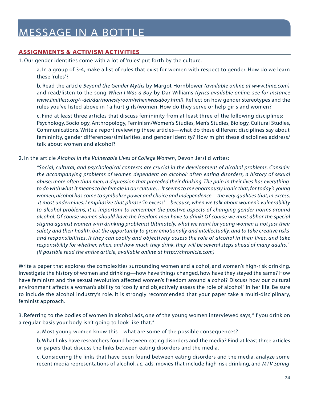#### <span id="page-23-0"></span>**ASSIGNMENTS & ACTIVISM ACTIVITIES**

1. Our gender identities come with a lot of 'rules' put forth by the culture.

a. In a group of 3-4, make a list of rules that exist for women with respect to gender. How do we learn these 'rules'?

b. Read the article *Beyond the Gender Myths* by Margot Hornblower *[\(available online at www.time.com\)](http://www.time.com)*  and read/listen to the song *When I Was a Boy* by Dar Williams *[\(lyrics available online, see for instance](http://www.limitless.org/~del/dar/honestyroom/wheniwasaboy.html)  [www.limitless.org/~del/dar/honestyroom/wheniwasaboy.html\)](http://www.limitless.org/~del/dar/honestyroom/wheniwasaboy.html)*. Reflect on how gender stereotypes and the rules you've listed above in 1a hurt girls/women. How do they serve or help girls and women?

c. Find at least three articles that discuss femininity from at least three of the following disciplines: Psychology, Sociology, Anthropology, Feminism/Women's Studies, Men's Studies, Biology, Cultural Studies, Communications. Write a report reviewing these articles—what do these different disciplines say about femininity, gender differences/similarities, and gender identity? How might these disciplines address/ talk about women and alcohol?

2. In the article *Alcohol in the Vulnerable Lives of College Women*, Devon Jersild writes:

*"Social, cultural, and psychological contexts are crucial in the development of alcohol problems. Consider the accompanying problems of women dependent on alcohol: often eating disorders, a history of sexual abuse; more often than men, a depression that preceded their drinking. The pain in their lives has everything to do with what it means to be female in our culture…It seems to me enormously ironic that, for today's young women, alcohol has come to symbolize power and choice and independence—the very qualities that, in excess, it most undermines. I emphasize that phrase 'in excess'—because, when we talk about women's vulnerability to alcohol problems, it is important to remember the positive aspects of changing gender norms around alcohol. Of course women should have the freedom men have to drink! Of course we must abhor the special stigma against women with drinking problems! Ultimately, what we want for young women is not just their safety and their health, but the opportunity to grow emotionally and intellectually, and to take creative risks and responsibilities. If they can coolly and objectively assess the role of alcohol in their lives, and take responsibility for whether, when, and how much they drink, they will be several steps ahead of many adults." [\(If possible read the entire article, available online at http://chronicle.com\)](http://chronicle.com)*

Write a paper that explores the complexities surrounding women and alcohol, and women's high-risk drinking. Investigate the history of women and drinking—how have things changed, how have they stayed the same? How have feminism and the sexual revolution affected women's freedom around alcohol? Discuss how our cultural environment affects a woman's ability to "coolly and objectively assess the role of alcohol" in her life. Be sure to include the alcohol industry's role. It is strongly recommended that your paper take a multi-disciplinary, feminist approach.

3. Referring to the bodies of women in alcohol ads, one of the young women interviewed says,"If you drink on a regular basis your body isn't going to look like that."

a. Most young women know this—what are some of the possible consequences?

b. What links have researchers found between eating disorders and the media? Find at least three articles or papers that discuss the links between eating disorders and the media.

c. Considering the links that have been found between eating disorders and the media, analyze some recent media representations of alcohol, *i.e.* ads, movies that include high-risk drinking, and *MTV Spring*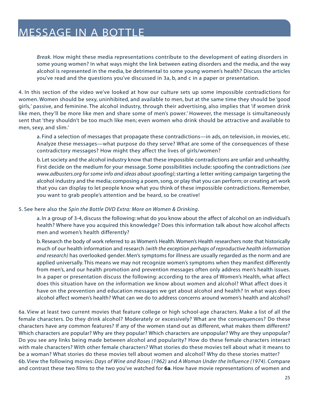*Break.* How might these media representations contribute to the development of eating disorders in some young women? In what ways might the link between eating disorders and the media, and the way alcohol is represented in the media, be detrimental to some young women's health? Discuss the articles you've read and the questions you've discussed in 3a, b, and c in a paper or presentation.

4. In this section of the video we've looked at how our culture sets up some impossible contradictions for women. Women should be sexy, uninhibited, and available to men, but at the same time they should be 'good girls,' passive, and feminine. The alcohol industry, through their advertising, also implies that 'if women drink like men, they'll be more like men and share some of men's power.' However, the message is simultaneously sent that 'they shouldn't be too much like men; even women who drink should be attractive and available to men, sexy, and slim.'

a. Find a selection of messages that propagate these contradictions—in ads, on television, in movies, etc. Analyze these messages—what purpose do they serve? What are some of the consequences of these contradictory messages? How might they affect the lives of girls/women?

b. Let society and the alcohol industry know that these impossible contradictions are unfair and unhealthy. First decide on the medium for your message. Some possibilities include: spoofing the contradictions *(see [www.adbusters.org for some info and ideas about spoofing\)](http://www.adbusters.org)*; starting a letter writing campaign targeting the alcohol industry and the media; composing a poem, song, or play that you can perform; or creating art work that you can display to let people know what you think of these impossible contradictions. Remember, you want to grab people's attention and be heard, so be creative!

#### 5. See here also the *Spin the Bottle DVD Extra: More on Women & Drinking*.

a. In a group of 3-4, discuss the following: what do you know about the affect of alcohol on an individual's health? Where have you acquired this knowledge? Does this information talk about how alcohol affects men and women's health differently?

b. Research the body of work referred to as Women's Health. Women's Health researchers note that historically much of our health information and research *(with the exception perhaps of reproductive health information and research)* has overlooked gender. Men's symptoms for illness are usually regarded as the norm and are applied universally. This means we may not recognize women's symptoms when they manifest differently from men's, and our health promotion and prevention messages often only address men's health issues. In a paper or presentation discuss the following: according to the area of Women's Health, what affect does this situation have on the information we know about women and alcohol? What affect does it have on the prevention and education messages we get about alcohol and health? In what ways does alcohol affect women's health? What can we do to address concerns around women's health and alcohol?

6a. View at least two current movies that feature college or high school-age characters. Make a list of all the female characters. Do they drink alcohol? Moderately or excessively? What are the consequences? Do these characters have any common features? If any of the women stand out as different, what makes them different? Which characters are popular? Why are they popular? Which characters are unpopular? Why are they unpopular? Do you see any links being made between alcohol and popularity? How do these female characters interact with male characters? With other female characters? What stories do these movies tell about what it means to be a woman? What stories do these movies tell about women and alcohol? Why do these stories matter? 6b. View the following movies: *Days of Wine and Roses (1962)* and *A Woman Under the Influence (1974)*. Compare and contrast these two films to the two you've watched for **6a**. How have movie representations of women and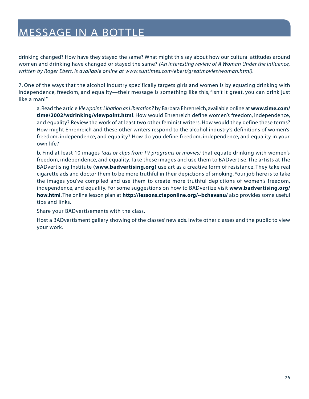drinking changed? How have they stayed the same? What might this say about how our cultural attitudes around women and drinking have changed or stayed the same? *[\(An interesting review of A Woman Under the Influence,](http://www.suntimes.com/ebert/greatmovies/woman.html) [written by Roger Ebert, is available online at www.suntimes.com/ebert/greatmovies/woman.html\).](http://www.suntimes.com/ebert/greatmovies/woman.html)*

7. One of the ways that the alcohol industry specifically targets girls and women is by equating drinking with independence, freedom, and equality—their message is something like this, "Isn't it great, you can drink just like a man!"

a. Read the article *Viewpoint: Libation as Liberation?* by Barbara Ehrenreich, available online at **[www.time.com/](http://www.time.com/time/2002/wdrinking/viewpoint.html) [time/2002/wdrinking/viewpoint.html](http://www.time.com/time/2002/wdrinking/viewpoint.html)**. How would Ehrenreich define women's freedom, independence, and equality? Review the work of at least two other feminist writers. How would they define these terms? How might Ehrenreich and these other writers respond to the alcohol industry's definitions of women's freedom, independence, and equality? How do you define freedom, independence, and equality in your own life?

b. Find at least 10 images *(ads or clips from TV programs or movies)* that equate drinking with women's freedom, independence, and equality. Take these images and use them to BADvertise. The artists at The BADvertising Institute **[\(www.badvertising.org\)](http://www.badvertising.org)** use art as a creative form of resistance. They take real cigarette ads and doctor them to be more truthful in their depictions of smoking. Your job here is to take the images you've compiled and use them to create more truthful depictions of women's freedom, independence, and equality. For some suggestions on how to BADvertize visit **[www.badvertising.org/](http://www.badvertising.org/how.html) [how.html](http://www.badvertising.org/how.html)**. The online lesson plan at **<http://lessons.ctaponline.org/~bchavanu/>** also provides some useful tips and links.

Share your BADvertisements with the class.

Host a BADvertisment gallery showing of the classes' new ads. Invite other classes and the public to view your work.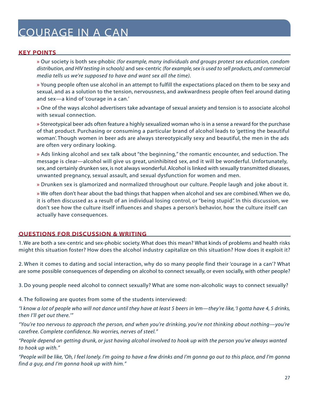# <span id="page-26-0"></span>COURAGE IN A CAN

#### **KEY POINTS**

**»** Our society is both sex-phobic *(for example, many individuals and groups protest sex education, condom distribution, and HIV testing in schools)* and sex-centric *(for example, sex is used to sell products, and commercial media tells us we're supposed to have and want sex all the time).*

**»** Young people often use alcohol in an attempt to fulfill the expectations placed on them to be sexy and sexual, and as a solution to the tension, nervousness, and awkwardness people often feel around dating and sex—a kind of 'courage in a can.'

**»** One of the ways alcohol advertisers take advantage of sexual anxiety and tension is to associate alcohol with sexual connection.

**»** Stereotypical beer ads often feature a highly sexualized woman who is in a sense a reward for the purchase of that product. Purchasing or consuming a particular brand of alcohol leads to 'getting the beautiful woman'. Though women in beer ads are always stereotypically sexy and beautiful, the men in the ads are often very ordinary looking.

**»** Ads linking alcohol and sex talk about "the beginning," the romantic encounter, and seduction. The message is clear—alcohol will give us great, uninhibited sex, and it will be wonderful. Unfortunately, sex, and certainly drunken sex, is not always wonderful. Alcohol is linked with sexually transmitted diseases, unwanted pregnancy, sexual assault, and sexual dysfunction for women and men.

**»** Drunken sex is glamorized and normalized throughout our culture. People laugh and joke about it.

**»** We often don't hear about the bad things that happen when alcohol and sex are combined. When we do, it is often discussed as a result of an individual losing control, or "being stupid". In this discussion, we don't see how the culture itself influences and shapes a person's behavior, how the culture itself can actually have consequences.

#### **QUESTIONS FOR DISCUSSION & WRITING**

1. We are both a sex-centric and sex-phobic society. What does this mean? What kinds of problems and health risks might this situation foster? How does the alcohol industry capitalize on this situation? How does it exploit it?

2. When it comes to dating and social interaction, why do so many people find their 'courage in a can'? What are some possible consequences of depending on alcohol to connect sexually, or even socially, with other people?

3. Do young people need alcohol to connect sexually? What are some non-alcoholic ways to connect sexually?

4. The following are quotes from some of the students interviewed:

*"I know a lot of people who will not dance until they have at least 5 beers in 'em—they're like, 'I gotta have 4, 5 drinks, then I'll get out there.'"*

*"You're too nervous to approach the person, and when you're drinking, you're not thinking about nothing—you're carefree. Complete confidence. No worries, nerves of steel."*

*"People depend on getting drunk, or just having alcohol involved to hook up with the person you've always wanted to hook up with."*

*"People will be like, 'Oh, I feel lonely. I'm going to have a few drinks and I'm gonna go out to this place, and I'm gonna find a guy, and I'm gonna hook up with him."*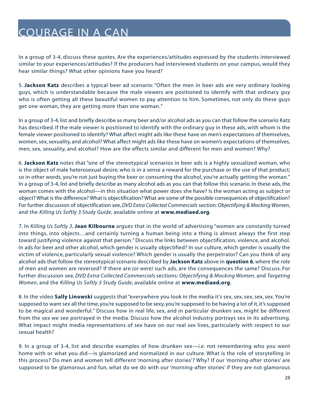# COURAGE IN A CAN

In a group of 3-4, discuss these quotes. Are the experiences/attitudes expressed by the students interviewed similar to your experiences/attitudes? If the producers had interviewed students on your campus, would they hear similar things? What other opinions have you heard?

5. **Jackson Katz** describes a typical beer ad scenario: "Often the men in beer ads are very ordinary looking guys, which is understandable because the male viewers are positioned to identify with that ordinary guy who is often getting all these beautiful women to pay attention to him. Sometimes, not only do these guys get one woman, they are getting more than one woman."

In a group of 3-4, list and briefly describe as many beer and/or alcohol ads as you can that follow the scenario Katz has described. If the male viewer is positioned to identify with the ordinary guy in these ads, with whom is the female viewer positioned to identify? What affect might ads like these have on men's expectations of themselves, women, sex, sexuality, and alcohol? What affect might ads like these have on women's expectations of themselves, men, sex, sexuality, and alcohol? How are the effects similar and different for men and women? Why?

6. **Jackson Katz** notes that "one of the stereotypical scenarios in beer ads is a highly sexualized woman, who is the object of male heterosexual desire, who is in a sense a reward for the purchase or the use of that product; so in other words, you're not just buying the beer or consuming the alcohol, you're actually getting the woman." In a group of 3-4, list and briefly describe as many alcohol ads as you can that follow this scenario. In these ads, the woman comes with the alcohol—in this situation what power does she have? Is the woman acting as subject or object? What is the difference? What is objectification? What are some of the possible consequences of objectification? For further discussion of objectification see,*DVD Extra Collected Commercials* section:*Objectifying & Mocking Women*, and the *Killing Us Softly 3 Study Guide*, available online at **[www.mediaed.org](http://www.mediaed.org)**.

7. In *Killing Us Softly 3*, **Jean Kilbourne** argues that in the world of advertising "women are constantly turned into things, into objects…and certainly turning a human being into a thing is almost always the first step toward justifying violence against that person." Discuss the links between objectification, violence, and alcohol. In ads for beer and other alcohol, which gender is usually objectified? In our culture, which gender is usually the victim of violence, particularly sexual violence? Which gender is usually the perpetrator? Can you think of any alcohol ads that follow the stereotypical scenario described by **Jackson Katz** above in **question 6**, where the role of men and women are reversed? If there are *(or were)* such ads, are the consequences the same? Discuss. For further discussion see, *DVD Extra Collected Commercials* sections: *Objectifying & Mocking Women*, and *Targeting Women*, and the *Killing Us Softly 3 Study Guide*, available online at **[www.mediaed.org](http://www.mediaed.org)**.

8. In the video **Sally Linowski** suggests that "everywhere you look in the media it's sex, sex, sex, sex, sex. You're supposed to want sex all the time, you're supposed to be sexy, you're supposed to be having a lot of it, it's supposed to be magical and wonderful." Discuss how in real life, sex, and in particular drunken sex, might be different from the sex we see portrayed in the media. Discuss how the alcohol industry portrays sex in its advertising. What impact might media representations of sex have on our real sex lives, particularly with respect to our sexual health?

9. In a group of 3-4, list and describe examples of how drunken sex—*i.e.* not remembering who you went home with or what you did—is glamorized and normalized in our culture. What is the role of storytelling in this process? Do men and women tell different 'morning after stories'? Why? If our 'morning-after stories' are supposed to be glamorous and fun, what do we do with our 'morning-after stories' if they are not glamorous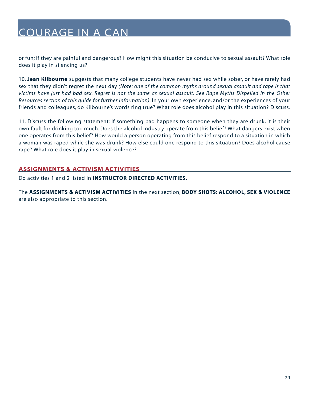# <span id="page-28-0"></span>COURAGE IN A CAN

or fun; if they are painful and dangerous? How might this situation be conducive to sexual assault? What role does it play in silencing us?

10. **Jean Kilbourne** suggests that many college students have never had sex while sober, or have rarely had sex that they didn't regret the next day *(Note: one of the common myths around sexual assault and rape is that victims have just had bad sex. Regret is not the same as sexual assault. See Rape Myths Dispelled in the Other Resources section of this guide for further information)*. In your own experience, and/or the experiences of your friends and colleagues, do Kilbourne's words ring true? What role does alcohol play in this situation? Discuss.

11. Discuss the following statement: If something bad happens to someone when they are drunk, it is their own fault for drinking too much. Does the alcohol industry operate from this belief? What dangers exist when one operates from this belief? How would a person operating from this belief respond to a situation in which a woman was raped while she was drunk? How else could one respond to this situation? Does alcohol cause rape? What role does it play in sexual violence?

#### **ASSIGNMENTS & ACTIVISM ACTIVITIES**

Do activities 1 and 2 listed in **INSTRUCTOR DIRECTED ACTIVITIES.**

The **ASSIGNMENTS & ACTIVISM ACTIVITIES** in the next section, **BODY SHOTS: ALCOHOL, SEX & VIOLENCE** are also appropriate to this section.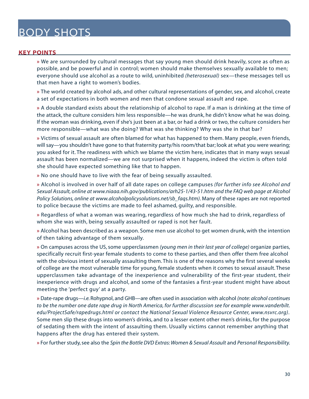#### <span id="page-29-0"></span>**KEY POINTS**

**»** We are surrounded by cultural messages that say young men should drink heavily, score as often as possible, and be powerful and in control; women should make themselves sexually available to men; everyone should use alcohol as a route to wild, uninhibited *(heterosexual)* sex—these messages tell us that men have a right to women's bodies.

**»** The world created by alcohol ads, and other cultural representations of gender, sex, and alcohol, create a set of expectations in both women and men that condone sexual assault and rape.

**»** A double standard exists about the relationship of alcohol to rape. If a man is drinking at the time of the attack, the culture considers him less responsible—he was drunk, he didn't know what he was doing. If the woman was drinking, even if she's just been at a bar, or had a drink or two, the culture considers her more responsible—what was she doing? What was she thinking? Why was she in that bar?

**»** Victims of sexual assault are often blamed for what has happened to them. Many people, even friends, will say—you shouldn't have gone to that fraternity party/his room/that bar; look at what you were wearing; you asked for it. The readiness with which we blame the victim here, indicates that in many ways sexual assault has been normalized—we are not surprised when it happens, indeed the victim is often told she should have expected something like that to happen.

**»** No one should have to live with the fear of being sexually assaulted.

**»** Alcohol is involved in over half of all date rapes on college campuses *[\(for further info see Alcohol and](http://www.niaa.nih.gov/publications/arh25-1/43-51.htm)  [Sexual Assault, online at www.niaaa.nih.gov/publications/arh25-1/43-51.htm](http://www.niaa.nih.gov/publications/arh25-1/43-51.htm) and the FAQ web page at Alcohol [Policy Solutions, online at www.alcoholpolicysolutions.net/sb\\_faqs.htm\)](http://www.alcoholpolicysolutions.net/sb_faqs.htm)*. Many of these rapes are not reported to police because the victims are made to feel ashamed, guilty, and responsible.

**»** Regardless of what a woman was wearing, regardless of how much she had to drink, regardless of whom she was with, being sexually assaulted or raped is not her fault.

**»** Alcohol has been described as a weapon. Some men use alcohol to get women drunk, with the intention of then taking advantage of them sexually.

**»** On campuses across the US, some upperclassmen *(young men in their last year of college)* organize parties, specifically recruit first-year female students to come to these parties, and then offer them free alcohol with the obvious intent of sexually assaulting them. This is one of the reasons why the first several weeks of college are the most vulnerable time for young, female students when it comes to sexual assault. These upperclassmen take advantage of the inexperience and vulnerability of the first-year student, their inexperience with drugs and alcohol, and some of the fantasies a first-year student might have about meeting the 'perfect guy' at a party.

**»** Date-rape drugs—*i.e.*Rohypnol, and GHB—are often used in association with alcohol *(note: alcohol continues to be the number one date rape drug in North America, for further discussion see for exampl[e www.vanderbilt.](http://www.vanderbilt.edu/ProjectSafe/rapedrugs.html) [edu/ProjectSafe/rapedrugs.html o](http://www.vanderbilt.edu/ProjectSafe/rapedrugs.html)r contact the [National Sexual Violence Resource Center, www.nsvrc.org\)](http://www.nsvrc.org)*. Some men slip these drugs into women's drinks, and to a lesser extent other men's drinks, for the purpose of sedating them with the intent of assaulting them. Usually victims cannot remember anything that happens after the drug has entered their system.

**»** For further study, see also the *Spin the Bottle DVD Extras: Women & Sexual Assault* and *Personal Responsibility.*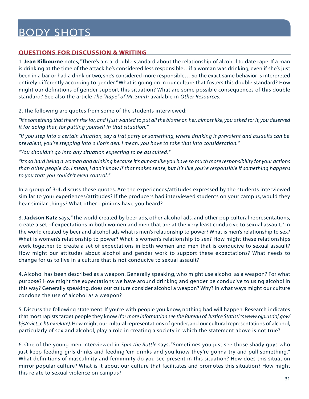#### <span id="page-30-0"></span>**QUESTIONS FOR DISCUSSION & WRITING**

1. **Jean Kilbourne** notes, "There's a real double standard about the relationship of alcohol to date rape. If a man is drinking at the time of the attack he's considered less responsible…if a woman was drinking, even if she's just been in a bar or had a drink or two, she's considered more responsible… So the exact same behavior is interpreted entirely differently according to gender." What is going on in our culture that fosters this double standard? How might our definitions of gender support this situation? What are some possible consequences of this double standard? See also the article *The "Rape" of Mr. Smith* available in *Other Resources*.

2. The following are quotes from some of the students interviewed:

*"It's something that there's risk for, and I just wanted to put all the blame on her, almost like, you asked for it, you deserved it for doing that, for putting yourself in that situation."*

*"If you step into a certain situation, say a frat party or something, where drinking is prevalent and assaults can be prevalent, you're stepping into a lion's den. I mean, you have to take that into consideration."*

*"You shouldn't go into any situation expecting to be assaulted."*

*"It's so hard being a woman and drinking because it's almost like you have so much more responsibility for your actions than other people do. I mean, I don't know if that makes sense, but it's like you're responsible if something happens to you that you couldn't even control."*

In a group of 3-4, discuss these quotes. Are the experiences/attitudes expressed by the students interviewed similar to your experiences/attitudes? If the producers had interviewed students on your campus, would they hear similar things? What other opinions have you heard?

3. **Jackson Katz** says,"The world created by beer ads, other alcohol ads, and other pop cultural representations, create a set of expectations in both women and men that are at the very least conducive to sexual assault." In the world created by beer and alcohol ads what is men's relationship to power? What is men's relationship to sex? What is women's relationship to power? What is women's relationship to sex? How might these relationships work together to create a set of expectations in both women and men that is conducive to sexual assault? How might our attitudes about alcohol and gender work to support these expectations? What needs to change for us to live in a culture that is not conducive to sexual assault?

4. Alcohol has been described as a weapon. Generally speaking, who might use alcohol as a weapon? For what purpose? How might the expectations we have around drinking and gender be conducive to using alcohol in this way? Generally speaking, does our culture consider alcohol a weapon? Why? In what ways might our culture condone the use of alcohol as a weapon?

5. Discuss the following statement: If you're with people you know, nothing bad will happen. Research indicates that most rapists target people they know *[\(for more information see the Bureau of Justice Statistics www.ojp.usdoj.gov/](http://www.ojp.usdoj.gov/bjs/cvict_c.htm#relate) [bjs/cvict\\_c.htm#relate\)](http://www.ojp.usdoj.gov/bjs/cvict_c.htm#relate)*. How might our cultural representations of gender, and our cultural representations of alcohol, particularly of sex and alcohol, play a role in creating a society in which the statement above is not true?

6. One of the young men interviewed in *Spin the Bottle* says, "Sometimes you just see those shady guys who just keep feeding girls drinks and feeding 'em drinks and you know they're gonna try and pull something." What definitions of masculinity and femininity do you see present in this situation? How does this situation mirror popular culture? What is it about our culture that facilitates and promotes this situation? How might this relate to sexual violence on campus?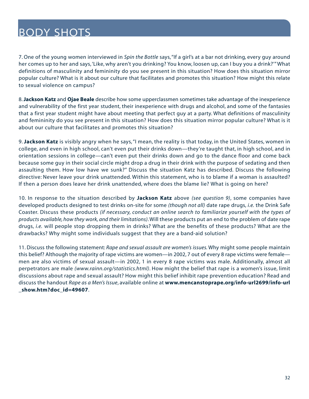7. One of the young women interviewed in *Spin the Bottle* says,"If a girl's at a bar not drinking, every guy around her comes up to her and says,'Like, why aren't you drinking? You know, loosen up, can I buy you a drink?'" What definitions of masculinity and femininity do you see present in this situation? How does this situation mirror popular culture? What is it about our culture that facilitates and promotes this situation? How might this relate to sexual violence on campus?

8. **Jackson Katz** and **Ojae Beale** describe how some upperclassmen sometimes take advantage of the inexperience and vulnerability of the first year student, their inexperience with drugs and alcohol, and some of the fantasies that a first year student might have about meeting that perfect guy at a party. What definitions of masculinity and femininity do you see present in this situation? How does this situation mirror popular culture? What is it about our culture that facilitates and promotes this situation?

9. **Jackson Katz** is visibly angry when he says, "I mean, the reality is that today, in the United States, women in college, and even in high school, can't even put their drinks down—they're taught that, in high school, and in orientation sessions in college—can't even put their drinks down and go to the dance floor and come back because some guy in their social circle might drop a drug in their drink with the purpose of sedating and then assaulting them. How low have we sunk?" Discuss the situation Katz has described. Discuss the following directive: Never leave your drink unattended. Within this statement, who is to blame if a woman is assaulted? If then a person does leave her drink unattended, where does the blame lie? What is going on here?

10. In response to the situation described by **Jackson Katz** above *(see question 9)*, some companies have developed products designed to test drinks on-site for some *(though not all)* date rape drugs, *i.e.* the Drink Safe Coaster. Discuss these products *(if necessary, conduct an online search to familiarize yourself with the types of products available, how they work, and their limitations)*.Will these products put an end to the problem of date rape drugs, *i.e.* will people stop dropping them in drinks? What are the benefits of these products? What are the drawbacks? Why might some individuals suggest that they are a band-aid solution?

11. Discuss the following statement: *Rape and sexual assault are women's issues.* Why might some people maintain this belief? Although the majority of rape victims are women—in 2002, 7 out of every 8 rape victims were female men are also victims of sexual assault—in 2002, 1 in every 8 rape victims was male. Additionally, almost all perpetrators are male *(www.rainn.org/statistics.html)*. How might the belief that rape is a women's issue, limit discussions about rape and sexual assault? How might this belief inhibit rape prevention education? Read and discuss the handout *Rape as a Men's Issue*, available online at **www.mencanstoprape.org/info-url2699/info-url \_show.htm?doc\_id=49607**.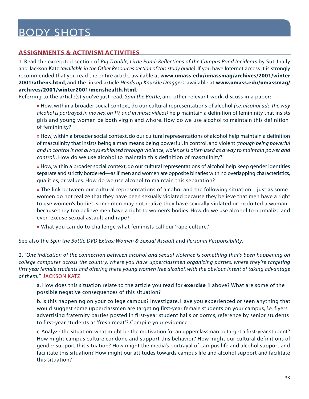#### <span id="page-32-0"></span>**ASSIGNMENTS & ACTIVISM ACTIVITIES**

1. Read the excerpted section of *Big Trouble, Little Pond: Reflections of the Campus Pond Incidents* by Sut Jhally and Jackson Katz *(available in the Other Resources section of this study guide)*. If you have Internet access it is strongly recommended that you read the entire article, available at **[www.umass.edu/umassmag/archives/2001/winter](http://www.umass.edu/umassmag/archives/2001/athens.html) [2001/athens.html](http://www.umass.edu/umassmag/archives/2001/athens.html)**, and the linked article *Heads up Knuckle Draggers*, available at **[www.umass.edu/umassmag/](http://www.umass.edu/umassmag/archives/2001/winter2001/menshealth.html) [archives/2001/winter2001/menshealth.html](http://www.umass.edu/umassmag/archives/2001/winter2001/menshealth.html)**.

Referring to the article(s) you've just read, *Spin the Bottle*, and other relevant work, discuss in a paper:

**»** How, within a broader social context, do our cultural representations of alcohol *(i.e. alcohol ads, the way alcohol is portrayed in movies, on TV, and in music videos)* help maintain a definition of femininity that insists girls and young women be both virgin and whore. How do we use alcohol to maintain this definition of femininity?

**»** How, within a broader social context, do our cultural representations of alcohol help maintain a definition of masculinity that insists being a man means being powerful, in control, and violent *(though being powerful and in control is not always exhibited through violence, violence is often used as a way to maintain power and control)*. How do we use alcohol to maintain this definition of masculinity?

**»** How, within a broader social context, do our cultural representations of alcohol help keep gender identities separate and strictly bordered—as if men and women are opposite binaries with no overlapping characteristics, qualities, or values. How do we use alcohol to maintain this separation?

**»** The link between our cultural representations of alcohol and the following situation—just as some women do not realize that they have been sexually violated because they believe that men have a right to use women's bodies, some men may not realize they have sexually violated or exploited a woman because they too believe men have a right to women's bodies. How do we use alcohol to normalize and even excuse sexual assault and rape?

**»** What you can do to challenge what feminists call our 'rape culture.'

See also the *Spin the Bottle DVD Extras: Women & Sexual Assault* and *Personal Responsibility*.

2. *"One indication of the connection between alcohol and sexual violence is something that's been happening on college campuses across the country, where you have upperclassmen organizing parties, where they're targeting first year female students and offering these young women free alcohol, with the obvious intent of taking advantage of them."* JACKSON KATZ

a. How does this situation relate to the article you read for **exercise 1** above? What are some of the possible negative consequences of this situation?

b. Is this happening on your college campus? Investigate. Have you experienced or seen anything that would suggest some upperclassmen are targeting first-year female students on your campus, *i.e.* flyers advertising fraternity parties posted in first-year student halls or dorms, reference by senior students to first-year students as 'fresh meat'? Compile your evidence.

c. Analyze the situation: what might be the motivation for an upperclassman to target a first-year student? How might campus culture condone and support this behavior? How might our cultural definitions of gender support this situation? How might the media's portrayal of campus life and alcohol support and facilitate this situation? How might our attitudes towards campus life and alcohol support and facilitate this situation?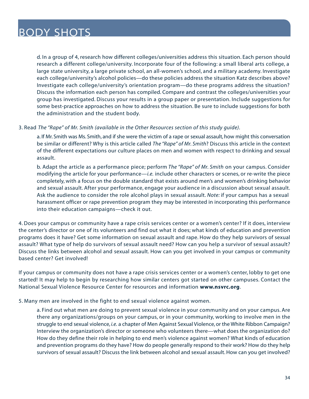d. In a group of 4, research how different colleges/universities address this situation. Each person should research a different college/university. Incorporate four of the following: a small liberal arts college, a large state university, a large private school, an all-women's school, and a military academy. Investigate each college/university's alcohol policies—do these policies address the situation Katz describes above? Investigate each college/university's orientation program—do these programs address the situation? Discuss the information each person has compiled. Compare and contrast the colleges/universities your group has investigated. Discuss your results in a group paper or presentation. Include suggestions for some best-practice approaches on how to address the situation. Be sure to include suggestions for both the administration and the student body.

#### 3. Read *The "Rape" of Mr. Smith (available in the Other Resources section of this study guide).*

a. If Mr. Smith was Ms. Smith, and if she were the victim of a rape or sexual assault, how might this conversation be similar or different? Why is this article called *The "Rape" of Mr. Smith*? Discuss this article in the context of the different expectations our culture places on men and women with respect to drinking and sexual assault.

b. Adapt the article as a performance piece; perform *The "Rape" of Mr. Smith* on your campus. Consider modifying the article for your performance—*i.e.* include other characters or scenes, or re-write the piece completely, with a focus on the double standard that exists around men's and women's drinking behavior and sexual assault. After your performance, engage your audience in a discussion about sexual assault. Ask the audience to consider the role alcohol plays in sexual assault. *Note:* if your campus has a sexual harassment officer or rape prevention program they may be interested in incorporating this performance into their education campaigns—check it out.

4. Does your campus or community have a rape crisis services center or a women's center? If it does, interview the center's director or one of its volunteers and find out what it does; what kinds of education and prevention programs does it have? Get some information on sexual assault and rape. How do they help survivors of sexual assault? What type of help do survivors of sexual assault need? How can you help a survivor of sexual assault? Discuss the links between alcohol and sexual assault. How can you get involved in your campus or community based center? Get involved!

If your campus or community does not have a rape crisis services center or a women's center, lobby to get one started! It may help to begin by researching how similar centers got started on other campuses. Contact the National Sexual Violence Resource Center for resources and information **[www.nsvrc.org](http://www.nsvrc.org)**.

#### 5. Many men are involved in the fight to end sexual violence against women.

a. Find out what men are doing to prevent sexual violence in your community and on your campus. Are there any organizations/groups on your campus, or in your community, working to involve men in the struggle to end sexual violence, *i.e.* a chapter of Men Against Sexual Violence, or the White Ribbon Campaign? Interview the organization's director or someone who volunteers there—what does the organization do? How do they define their role in helping to end men's violence against women? What kinds of education and prevention programs do they have? How do people generally respond to their work? How do they help survivors of sexual assault? Discuss the link between alcohol and sexual assault. How can you get involved?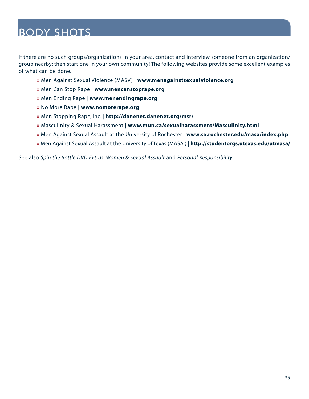If there are no such groups/organizations in your area, contact and interview someone from an organization/ group nearby; then start one in your own community! The following websites provide some excellent examples of what can be done.

- **»** Men Against Sexual Violence (MASV) | **[www.menagainstsexualviolence.org](http://www.menagainstsexualviolence.org)**
- **»** Men Can Stop Rape | **[www.mencanstoprape.org](http://www.mencanstoprape.org)**
- **»** Men Ending Rape | **[www.menendingrape.org](http://www.menendingrape.org)**
- **»** No More Rape | **[www.nomorerape.org](http://www.nomorerape.org)**
- **»** Men Stopping Rape, Inc. | **<http://danenet.danenet.org/msr/>**
- **»** Masculinity & Sexual Harassment | **[www.mun.ca/sexualharassment/Masculinity.html](http://www.mun.ca/sexualharassment/Masculinity.html)**
- **»** [Men Against Sexual Assault at the University of Rochester |](http://www.sa.rochester.edu/masa/index.php) **www.sa.rochester.edu/masa/index.php**
- **»** [Men Against Sexual Assault at the University of Texas \(MASA \) |](http://studentorgs.utexas.edu/utmasa/) **http://studentorgs.utexas.edu/utmasa/**

See also *Spin the Bottle DVD Extras: Women & Sexual Assault* and *Personal Responsibility*.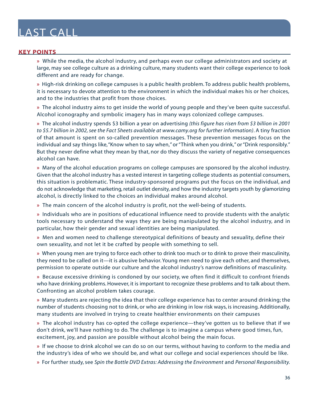#### <span id="page-35-0"></span>**KEY POINTS**

**»** While the media, the alcohol industry, and perhaps even our college administrators and society at large, may see college culture as a drinking culture, many students want their college experience to look different and are ready for change.

**»** High-risk drinking on college campuses is a public health problem. To address public health problems, it is necessary to devote attention to the environment in which the individual makes his or her choices, and to the industries that profit from those choices.

**»** The alcohol industry aims to get inside the world of young people and they've been quite successful. Alcohol iconography and symbolic imagery has in many ways colonized college campuses.

**»** The alcohol industry spends \$3 billion a year on advertising *[\(this figure has risen from \\$3 billion in 2001](http://www.camy.org)  [to \\$5.7 billion in 2002, see the Fact Sheets available at www.camy.org for further information\)](http://www.camy.org)*. A tiny fraction of that amount is spent on so-called prevention messages. These prevention messages focus on the individual and say things like,"Know when to say when," or "Think when you drink," or "Drink responsibly." But they never define what they mean by that, nor do they discuss the variety of negative consequences alcohol can have.

**»** Many of the alcohol education programs on college campuses are sponsored by the alcohol industry. Given that the alcohol industry has a vested interest in targeting college students as potential consumers, this situation is problematic. These industry-sponsored programs put the focus on the individual, and do not acknowledge that marketing, retail outlet density, and how the industry targets youth by glamorizing alcohol, is directly linked to the choices an individual makes around alcohol.

**»** The main concern of the alcohol industry is profit, not the well-being of students.

**»** Individuals who are in positions of educational influence need to provide students with the analytic tools necessary to understand the ways they are being manipulated by the alcohol industry, and in particular, how their gender and sexual identities are being manipulated.

**»** Men and women need to challenge stereotypical definitions of beauty and sexuality, define their own sexuality, and not let it be crafted by people with something to sell.

**»** When young men are trying to force each other to drink too much or to drink to prove their masculinity, they need to be called on it—it is abusive behavior. Young men need to give each other, and themselves, permission to operate outside our culture and the alcohol industry's narrow definitions of masculinity.

**»** Because excessive drinking is condoned by our society, we often find it difficult to confront friends who have drinking problems. However, it is important to recognize these problems and to talk about them. Confronting an alcohol problem takes courage.

**»** Many students are rejecting the idea that their college experience has to center around drinking; the number of students choosing not to drink, or who are drinking in low risk ways, is increasing. Additionally, many students are involved in trying to create healthier environments on their campuses

**»** The alcohol industry has co-opted the college experience—they've gotten us to believe that if we don't drink, we'll have nothing to do. The challenge is to imagine a campus where good times, fun, excitement, joy, and passion are possible without alcohol being the main focus.

**»** If we choose to drink alcohol we can do so on our terms, without having to conform to the media and the industry's idea of who we should be, and what our college and social experiences should be like.

**»** For further study, see *Spin the Bottle DVD Extras: Addressing the Environment* and *Personal Responsibility.*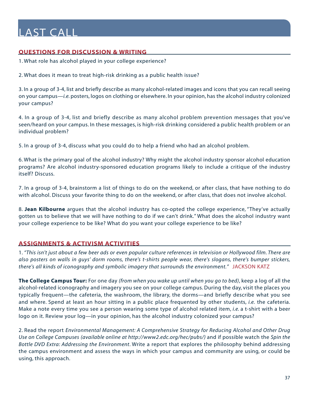#### <span id="page-36-0"></span>**QUESTIONS FOR DISCUSSION & WRITING**

1. What role has alcohol played in your college experience?

2. What does it mean to treat high-risk drinking as a public health issue?

3. In a group of 3-4, list and briefly describe as many alcohol-related images and icons that you can recall seeing on your campus—*i.e.* posters, logos on clothing or elsewhere. In your opinion, has the alcohol industry colonized your campus?

4. In a group of 3-4, list and briefly describe as many alcohol problem prevention messages that you've seen/heard on your campus. In these messages, is high-risk drinking considered a public health problem or an individual problem?

5. In a group of 3-4, discuss what you could do to help a friend who had an alcohol problem.

6. What is the primary goal of the alcohol industry? Why might the alcohol industry sponsor alcohol education programs? Are alcohol industry-sponsored education programs likely to include a critique of the industry itself? Discuss.

7. In a group of 3-4, brainstorm a list of things to do on the weekend, or after class, that have nothing to do with alcohol. Discuss your favorite thing to do on the weekend, or after class, that does not involve alcohol.

8. **Jean Kilbourne** argues that the alcohol industry has co-opted the college experience, "They've actually gotten us to believe that we will have nothing to do if we can't drink." What does the alcohol industry want your college experience to be like? What do you want your college experience to be like?

#### **ASSIGNMENTS & ACTIVISM ACTIVITIES**

1. *"This isn't just about a few beer ads or even popular culture references in television or Hollywood film. There are also posters on walls in guys' dorm rooms, there's t-shirts people wear, there's slogans, there's bumper stickers, there's all kinds of iconography and symbolic imagery that surrounds the environment."* JACKSON KATZ

**The College Campus Tour:** For one day *(from when you wake up until when you go to bed)*, keep a log of all the alcohol-related iconography and imagery you see on your college campus. During the day, visit the places you typically frequent—the cafeteria, the washroom, the library, the dorms—and briefly describe what you see and where. Spend at least an hour sitting in a public place frequented by other students, *i.e.* the cafeteria. Make a note every time you see a person wearing some type of alcohol related item, *i.e.* a t-shirt with a beer logo on it. Review your log—in your opinion, has the alcohol industry colonized your campus?

2. Read the report *Environmental Management: A Comprehensive Strategy for Reducing Alcohol and Other Drug Use on College Campuses [\(available online at http://www2.edc.org/hec/pubs/\)](http://www2.edc.org/hec/pubs/)* and if possible watch the *Spin the Bottle DVD Extra: Addressing the Environment*. Write a report that explores the philosophy behind addressing the campus environment and assess the ways in which your campus and community are using, or could be using, this approach.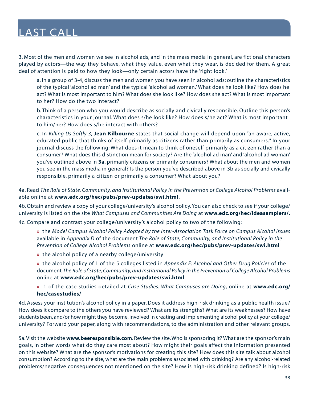3. Most of the men and women we see in alcohol ads, and in the mass media in general, are fictional characters played by actors—the way they behave, what they value, even what they wear, is decided for them. A great deal of attention is paid to how they look—only certain actors have the 'right look.'

a. In a group of 3-4, discuss the men and women you have seen in alcohol ads; outline the characteristics of the typical 'alcohol ad man' and the typical 'alcohol ad woman.' What does he look like? How does he act? What is most important to him? What does she look like? How does she act? What is most important to her? How do the two interact?

b. Think of a person who you would describe as socially and civically responsible. Outline this person's characteristics in your journal. What does s/he look like? How does s/he act? What is most important to him/her? How does s/he interact with others?

c. In *Killing Us Softly 3*, **Jean Kilbourne** states that social change will depend upon "an aware, active, educated public that thinks of itself primarily as citizens rather than primarily as consumers." In your journal discuss the following: What does it mean to think of oneself primarily as a citizen rather than a consumer? What does this distinction mean for society? Are the 'alcohol ad man' and 'alcohol ad woman' you've outlined above in **3a**, primarily citizens or primarily consumers? What about the men and women you see in the mass media in general? Is the person you've described above in 3b as socially and civically responsible, primarily a citizen or primarily a consumer? What about you?

4a. Read *The Role of State, Community, and Institutional Policy in the Prevention of College Alcohol Problems* available online at **[www.edc.org/hec/pubs/prev-updates/swi.html](http://www.edc.org/hec/pubs/prev-updates/swi.html)**.

4b. Obtain and review a copy of your college/university's alcohol policy. You can also check to see if your college/ university is listed on the site *What Campuses and Communities Are Doing* at **[www.edc.org/hec/ideasamplers/.](http://www.edc.org/hec/ideasamplers/)**

4c. Compare and contrast your college/university's alcohol policy to two of the following:

**»** the *Model Campus Alcohol Policy Adopted by the Inter-Association Task Force on Campus Alcohol Issues* available in *Appendix D* of the document *The Role of State, Community, and Institutional Policy in the Prevention of College Alcohol Problems* online at **[www.edc.org/hec/pubs/prev-updates/swi.html](http://www.edc.org/hec/pubs/prev-updates/swi.html)**

**»** the alcohol policy of a nearby college/university

**»** the alcohol policy of 1 of the 5 colleges listed in *Appendix E: Alcohol and Other Drug Policies* of the document *The Role of State, Community, and Institutional Policy in the Prevention of College Alcohol Problems* online at **[www.edc.org/hec/pubs/prev-updates/swi.html](http://www.edc.org/hec/pubs/prev-updates/swi.html)**

**»** 1 of the case studies detailed at *Case Studies: What Campuses are Doing*, online at **[www.edc.org/](http://www.edc.org/hec/casestudies/) [hec/casestudies/](http://www.edc.org/hec/casestudies/)**

4d. Assess your institution's alcohol policy in a paper. Does it address high-risk drinking as a public health issue? How does it compare to the others you have reviewed? What are its strengths? What are its weaknesses? How have students been, and/or how might they become, involved in creating and implementing alcohol policy at your college/ university? Forward your paper, along with recommendations, to the administration and other relevant groups.

5a. Visit the website **[www.beeresponsible.com](http://www.beeresponsible.com)**. Review the site. Who is sponsoring it? What are the sponsor's main goals, in other words what do they care most about? How might their goals affect the information presented on this website? What are the sponsor's motivations for creating this site? How does this site talk about alcohol consumption? According to the site, what are the main problems associated with drinking? Are any alcohol-related problems/negative consequences not mentioned on the site? How is high-risk drinking defined? Is high-risk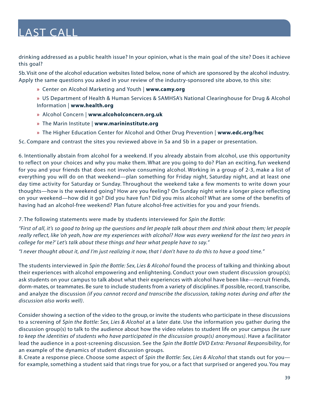drinking addressed as a public health issue? In your opinion, what is the main goal of the site? Does it achieve this goal?

5b. Visit one of the alcohol education websites listed below, none of which are sponsored by the alcohol industry. Apply the same questions you asked in your review of the industry-sponsored site above, to this site:

- **»** [Center on Alcohol Marketing and Youth |](http://www.camy.org) **www.camy.org**
- **»** [US Department of Health & Human Services & SAMHSA's National Clearinghouse for Drug & Alcohol](http://www.health.org)  Information | **www.health.org**
- **»** Alcohol Concern | **[www.alcoholconcern.org.uk](http://www.alcoholconcern.org.uk)**
- **»** The Marin Institute | **[www.marininstitute.org](http://www.marininstitute.org)**
- **»** [The Higher Education Center for Alcohol and Other Drug Prevention |](http://www.edc.org/hec) **www.edc.org/hec**

5c. Compare and contrast the sites you reviewed above in 5a and 5b in a paper or presentation.

6. Intentionally abstain from alcohol for a weekend. If you already abstain from alcohol, use this opportunity to reflect on your choices and why you make them. What are you going to do? Plan an exciting, fun weekend for you and your friends that does not involve consuming alcohol. Working in a group of 2-3, make a list of everything you will do on that weekend—plan something for Friday night, Saturday night, and at least one day time activity for Saturday or Sunday. Throughout the weekend take a few moments to write down your thoughts—how is the weekend going? How are you feeling? On Sunday night write a longer piece reflecting on your weekend—how did it go? Did you have fun? Did you miss alcohol? What are some of the benefits of having had an alcohol-free weekend? Plan future alcohol-free activities for you and your friends.

7. The following statements were made by students interviewed for *Spin the Bottle*:

*"First of all, it's so good to bring up the questions and let people talk about them and think about them; let people really reflect, like 'oh yeah, how are my experiences with alcohol? How was every weekend for the last two years in college for me?' Let's talk about these things and hear what people have to say."*

*"I never thought about it, and I'm just realizing it now, that I don't have to do this to have a good time."*

The students interviewed in *Spin the Bottle: Sex, Lies & Alcohol* found the process of talking and thinking about their experiences with alcohol empowering and enlightening. Conduct your own student discussion group(s); ask students on your campus to talk about what their experiences with alcohol have been like—recruit friends, dorm-mates, or teammates. Be sure to include students from a variety of disciplines. If possible, record, transcribe, and analyze the discussion *(if you cannot record and transcribe the discussion, taking notes during and after the discussion also works well)*.

Consider showing a section of the video to the group, or invite the students who participate in these discussions to a screening of *Spin the Bottle: Sex, Lies & Alcohol* at a later date. Use the information you gather during the discussion group(s) to talk to the audience about how the video relates to student life on your campus *(be sure to keep the identities of students who have participated in the discussion group(s) anonymous)*. Have a facilitator lead the audience in a post-screening discussion. See the *Spin the Bottle DVD Extra: Personal Responsibility*, for an example of the dynamics of student discussion groups.

8. Create a response piece. Choose some aspect of *Spin the Bottle: Sex, Lies & Alcohol* that stands out for you for example, something a student said that rings true for you, or a fact that surprised or angered you. You may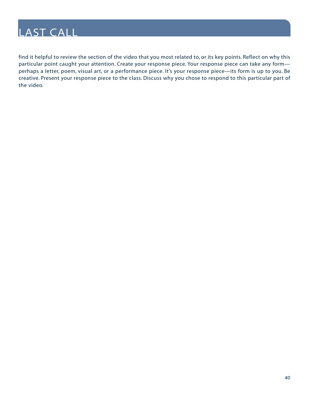

find it helpful to review the section of the video that you most related to, or its key points. Reflect on why this particular point caught your attention. Create your response piece. Your response piece can take any form perhaps a letter, poem, visual art, or a performance piece. It's your response piece—its form is up to you. Be creative. Present your response piece to the class. Discuss why you chose to respond to this particular part of the video.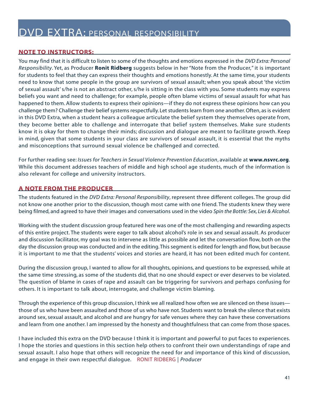#### <span id="page-40-0"></span>**NOTE TO INSTRUCTORS:**

You may find that it is difficult to listen to some of the thoughts and emotions expressed in the *DVD Extra: Personal Responsibility*. Yet, as Producer **Ronit Ridberg** suggests below in her "Note from the Producer," it is important for students to feel that they can express their thoughts and emotions honestly. At the same time, your students need to know that some people in the group are survivors of sexual assault; when you speak about 'the victim of sexual assault' s/he is not an abstract other, s/he is sitting in the class with you. Some students may express beliefs you want and need to challenge; for example, people often blame victims of sexual assault for what has happened to them. Allow students to express their opinions—if they do not express these opinions how can you challenge them? Challenge their belief systems respectfully. Let students learn from one another. Often, as is evident in this DVD Extra, when a student hears a colleague articulate the belief system they themselves operate from, they become better able to challenge and interrogate that belief system themselves. Make sure students know it is okay for them to change their minds; discussion and dialogue are meant to facilitate growth. Keep in mind, given that some students in your class are survivors of sexual assault, it is essential that the myths and misconceptions that surround sexual violence be challenged and corrected.

For further reading see: *Issues for Teachers in Sexual Violence Prevention Education*, available at **[www.nsvrc.org](http://www.nsvrc.org)**. While this document addresses teachers of middle and high school age students, much of the information is also relevant for college and university instructors.

#### **A NOTE FROM THE PRODUCER**

The students featured in the *DVD Extra: Personal Responsibility*, represent three different colleges. The group did not know one another prior to the discussion, though most came with one friend. The students knew they were being filmed, and agreed to have their images and conversations used in the video *Spin the Bottle: Sex, Lies & Alcohol*.

Working with the student discussion group featured here was one of the most challenging and rewarding aspects of this entire project. The students were eager to talk about alcohol's role in sex and sexual assault. As producer and discussion facilitator, my goal was to intervene as little as possible and let the conversation flow, both on the day the discussion group was conducted and in the editing.This segment is edited for length and flow, but because it is important to me that the students' voices and stories are heard, it has not been edited much for content.

During the discussion group, I wanted to allow for all thoughts, opinions, and questions to be expressed, while at the same time stressing, as some of the students did, that no one should expect or ever deserves to be violated. The question of blame in cases of rape and assault can be triggering for survivors and perhaps confusing for others. It is important to talk about, interrogate, and challenge victim blaming.

Through the experience of this group discussion, I think we all realized how often we are silenced on these issues those of us who have been assaulted and those of us who have not. Students want to break the silence that exists around sex, sexual assault, and alcohol and are hungry for safe venues where they can have these conversations and learn from one another. I am impressed by the honesty and thoughtfulness that can come from those spaces.

I have included this extra on the DVD because I think it is important and powerful to put faces to experiences. I hope the stories and questions in this section help others to confront their own understandings of rape and sexual assault. I also hope that others will recognize the need for and importance of this kind of discussion, and engage in their own respectful dialogue. RONIT RIDBERG | *Producer*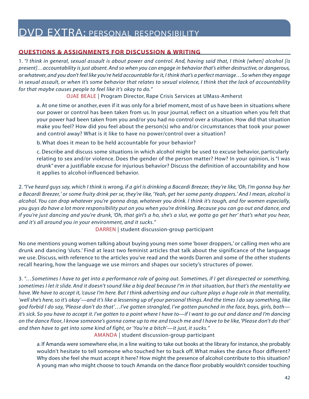#### <span id="page-41-0"></span>**QUESTIONS & ASSIGNMENTS FOR DISCUSSION & WRITING**

1. *"I think in general, sexual assault is about power and control. And, having said that, I think [when] alcohol [is present]…accountability is just absent. And so when you can engage in behavior that's either destructive, or dangerous, or whatever, and you don't feel like you're held accountable for it, I think that's a perfect marriage…So when they engage in sexual assault, or when it's some behavior that relates to sexual violence, I think that the lack of accountability for that maybe causes people to feel like it's okay to do."*

OJAE BEALE | Program Director, Rape Crisis Services at UMass-Amherst

a. At one time or another, even if it was only for a brief moment, most of us have been in situations where our power or control has been taken from us. In your journal, reflect on a situation when you felt that your power had been taken from you and/or you had no control over a situation. How did that situation make you feel? How did you feel about the person(s) who and/or circumstances that took your power and control away? What is it like to have no power/control over a situation?

b. What does it mean to be held accountable for your behavior?

c. Describe and discuss some situations in which alcohol might be used to excuse behavior, particularly relating to sex and/or violence. Does the gender of the person matter? How? In your opinion, is "I was drunk" ever a justifiable excuse for injurious behavior? Discuss the definition of accountability and how it applies to alcohol-influenced behavior.

2. *"I've heard guys say, which I think is wrong, if a girl is drinking a Bacardi Breezer, they're like, 'Oh, I'm gonna buy her a Bacardi Breezer,' or some fruity drink per se, they're like, 'Yeah, get her some panty droppers.' And I mean, alcohol is alcohol. You can drop whatever you're gonna drop, whatever you drink. I think it's tough, and for women especially, you guys do have a lot more responsibility put on you when you're drinking. Because you can go out and dance, and if you're just dancing and you're drunk, 'Oh, that girl's a ho, she's a slut, we gotta go get her' that's what you hear, and it's all around you in your environment, and it sucks."*

DARREN | student discussion-group participant

No one mentions young women talking about buying young men some 'boxer droppers,' or calling men who are drunk and dancing 'sluts.' Find at least two feminist articles that talk about the significance of the language we use. Discuss, with reference to the articles you've read and the words Darren and some of the other students recall hearing, how the language we use mirrors and shapes our society's structures of power.

3. *"…Sometimes I have to get into a performance role of going out. Sometimes, if I get disrespected or something, sometimes I let it slide. And it doesn't sound like a big deal because I'm in that situation, but that's the mentality we have. We have to accept it, 'cause I'm here. But I think advertising and our culture plays a huge role in that mentality, 'well she's here, so it's okay'—and it's like a lessening up of your personal things. And the times I do say something, like god forbid I do say, 'Please don't do that'…I've gotten strangled, I've gotten punched in the face, boys, girls, both it's sick. So you have to accept it. I've gotten to a point where I have to—if I want to go out and dance and I'm dancing on the dance floor, I know someone's gonna come up to me and touch me and I have to be like, 'Please don't do that' and then have to get into some kind of fight, or 'You're a bitch'—it just, it sucks."*

AMANDA | student discussion-group participant

a. If Amanda were somewhere else, in a line waiting to take out books at the library for instance, she probably wouldn't hesitate to tell someone who touched her to back off. What makes the dance floor different? Why does she feel she must accept it here? How might the presence of alcohol contribute to this situation? A young man who might choose to touch Amanda on the dance floor probably wouldn't consider touching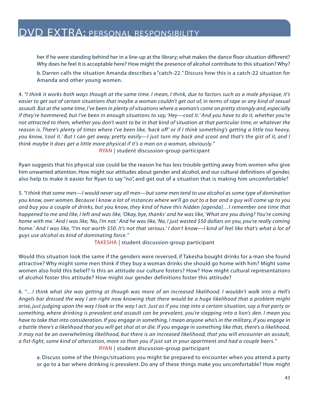her if he were standing behind her in a line-up at the library; what makes the dance floor situation different? Why does he feel it is acceptable here? How might the presence of alcohol contribute to this situation? Why?

b. Darren calls the situation Amanda describes a "catch-22." Discuss how this is a catch-22 situation for Amanda and other young women.

4. *"I think it works both ways though at the same time. I mean, I think, due to factors such as a male physique, it's easier to get out of certain situations that maybe a woman couldn't get out of, in terms of rape or any kind of sexual assault. But at the same time, I've been in plenty of situations where a woman's come on pretty strongly and, especially if they're hammered, but I've been in enough situations to say, 'Hey—cool it.' And you have to do it, whether you're not attracted to them, whether you don't want to be in that kind of situation at that particular time, or whatever the reason is. There's plenty of times where I've been like, 'back off ' or if I think something's getting a little too heavy, you know, 'cool it.' But I can get away, pretty easily—I just turn my back and scoot and that's the gist of it, and I think maybe it does get a little more physical if it's a man on a woman, obviously."* RYAN | student discussion-group participant

Ryan suggests that his physical size could be the reason he has less trouble getting away from women who give him unwanted attention. How might our attitudes about gender and alcohol, and our cultural definitions of gender, also help to make it easier for Ryan to say "no", and get out of a situation that is making him uncomfortable?

5.*"I think that some men—I would never say all men—but some men tend to use alcohol as some type of domination you know, over women. Because I know a lot of instances where we'll go out to a bar and a guy will come up to you and buy you a couple of drinks, but you know, they kind of have this hidden [agenda]…I remember one time that happened to me and like, I left and was like, 'Okay, bye, thanks' and he was like, 'What are you doing? You're coming home with me.' And I was like, 'No, I'm not.' And he was like, 'No, I just wasted \$50 dollars on you, you're really coming home.' And I was like, "I'm not worth \$50. It's not that serious.' I don't know—I kind of feel like that's what a lot of guys use alcohol as kind of dominating force."*

TAKESHA | student discussion-group participant

Would this situation look the same if the genders were reversed, if Takesha bought drinks for a man she found attractive? Why might some men think if they buy a woman drinks she should go home with him? Might some women also hold this belief? Is this an attitude our culture fosters? How? How might cultural representations of alcohol foster this attitude? How might our gender definitions foster this attitude?

6. *"…I think what she was getting at though was more of an increased likelihood. I wouldn't walk into a Hell's Angels bar dressed the way I am right now knowing that there would be a huge likelihood that a problem might arise, just judging upon the way I look or the way I act. Just as if you step into a certain situation, say a frat party or something, where drinking is prevalent and assault can be prevalent, you're stepping into a lion's den. I mean you have to take that into consideration. If you engage in something, I mean anyone who's in the military, if you engage in a battle there's a likelihood that you will get shot at or die. If you engage in something like that, there's a likelihood, it may not be an overwhelming likelihood, but there is an increased likelihood, that you will encounter an assault, a fist-fight, some kind of altercation, more so than you if just sat in your apartment and had a couple beers."* RYAN | student discussion-group participant

a. Discuss some of the things/situations you might be prepared to encounter when you attend a party or go to a bar where drinking is prevalent. Do any of these things make you uncomfortable? How might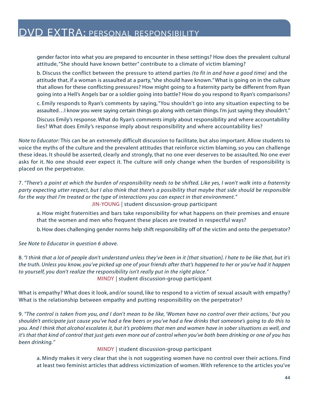gender factor into what you are prepared to encounter in these settings? How does the prevalent cultural attitude, "She should have known better" contribute to a climate of victim blaming?

b. Discuss the conflict between the pressure to attend parties *(to fit in and have a good time)* and the attitude that, if a woman is assaulted at a party,"she should have known." What is going on in the culture that allows for these conflicting pressures? How might going to a fraternity party be different from Ryan going into a Hell's Angels bar or a soldier going into battle? How do you respond to Ryan's comparisons?

c. Emily responds to Ryan's comments by saying, "You shouldn't go into any situation expecting to be assaulted…I know you were saying certain things go along with certain things. I'm just saying they shouldn't."

Discuss Emily's response. What do Ryan's comments imply about responsibility and where accountability lies? What does Emily's response imply about responsibility and where accountability lies?

*Note to Educator:* This can be an extremely difficult discussion to facilitate, but also important. Allow students to voice the myths of the culture and the prevalent attitudes that reinforce victim blaming, so you can challenge these ideas. It should be asserted, clearly and strongly, that no one ever deserves to be assaulted. No one ever asks for it. No one should ever expect it. The culture will only change when the burden of responsibility is placed on the perpetrator.

7. *"There's a point at which the burden of responsibility needs to be shifted. Like yes, I won't walk into a fraternity party expecting utter respect, but I also think that there's a possibility that maybe that side should be responsible for the way that I'm treated or the type of interactions you can expect in that environment."* JIN-YOUNG | student discussion-group participant

a. How might fraternities and bars take responsibility for what happens on their premises and ensure that the women and men who frequent these places are treated in respectful ways?

b. How does challenging gender norms help shift responsibility off of the victim and onto the perpetrator?

*See Note to Educator in question 6 above.*

8. *"I think that a lot of people don't understand unless they've been in it [that situation]. I hate to be like that, but it's the truth. Unless you know, you've picked up one of your friends after that's happened to her or you've had it happen to yourself, you don't realize the responsibility isn't really put in the right place."* MINDY | student discussion-group participant

What is empathy? What does it look, and/or sound, like to respond to a victim of sexual assault with empathy? What is the relationship between empathy and putting responsibility on the perpetrator?

9. *"The control is taken from you, and I don't mean to be like, 'Women have no control over their actions,' but you shouldn't anticipate just cause you've had a few beers or you've had a few drinks that someone's going to do this to you. And I think that alcohol escalates it, but it's problems that men and women have in sober situations as well, and it's that that kind of control that just gets even more out of control when you've both been drinking or one of you has been drinking."*

MINDY | student discussion-group participant

a. Mindy makes it very clear that she is not suggesting women have no control over their actions. Find at least two feminist articles that address victimization of women. With reference to the articles you've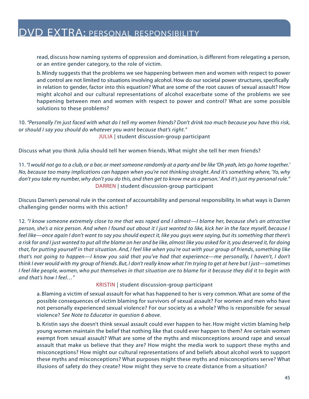read, discuss how naming systems of oppression and domination, is different from relegating a person, or an entire gender category, to the role of victim.

b. Mindy suggests that the problems we see happening between men and women with respect to power and control are not limited to situations involving alcohol. How do our societal power structures, specifically in relation to gender, factor into this equation? What are some of the root causes of sexual assault? How might alcohol and our cultural representations of alcohol exacerbate some of the problems we see happening between men and women with respect to power and control? What are some possible solutions to these problems?

10. *"Personally I'm just faced with what do I tell my women friends? Don't drink too much because you have this risk, or should I say you should do whatever you want because that's right."* JULIA | student discussion-group participant

Discuss what you think Julia should tell her women friends. What might she tell her men friends?

11.*"I would not go to a club, or a bar, or meet someone randomly at a party and be like 'Oh yeah, lets go home together.' No, because too many implications can happen when you're not thinking straight. And it's something where, 'Yo, why don't you take my number, why don't you do this, and then get to know me as a person.' And it's just my personal rule."* DARREN | student discussion-group participant

Discuss Darren's personal rule in the context of accountability and personal responsibility. In what ways is Darren challenging gender norms with this action?

12. *"I know someone extremely close to me that was raped and I almost—I blame her, because she's an attractive person, she's a nice person. And when I found out about it I just wanted to like, kick her in the face myself, because I feel like—once again I don't want to say you should expect it, like you guys were saying, but its something that there's a risk for and I just wanted to put all the blame on her and be like, almost like you asked for it, you deserved it, for doing that, for putting yourself in that situation. And, I feel like when you're out with your group of friends, something like that's not going to happen—I know you said that you've had that experience—me personally, I haven't, I don't think I ever would with my group of friends. But, I don't really know what I'm trying to get at here but I just—sometimes I feel like people, women, who put themselves in that situation are to blame for it because they did it to begin with and that's how I feel…"*

#### KRISTIN | student discussion-group participant

a. Blaming a victim of sexual assault for what has happened to her is very common. What are some of the possible consequences of victim blaming for survivors of sexual assault? For women and men who have not personally experienced sexual violence? For our society as a whole? Who is responsible for sexual violence? *See Note to Educator in question 6 above.*

b. Kristin says she doesn't think sexual assault could ever happen to her. How might victim blaming help young women maintain the belief that nothing like that could ever happen to them? Are certain women exempt from sexual assault? What are some of the myths and misconceptions around rape and sexual assault that make us believe that they are? How might the media work to support these myths and misconceptions? How might our cultural representations of and beliefs about alcohol work to support these myths and misconceptions? What purposes might these myths and misconceptions serve? What illusions of safety do they create? How might they serve to create distance from a situation?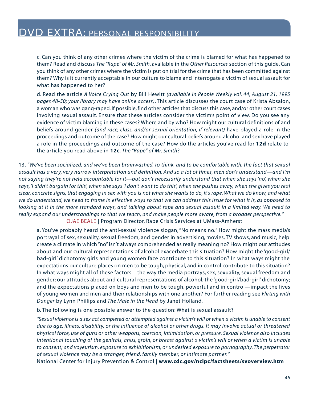c. Can you think of any other crimes where the victim of the crime is blamed for what has happened to them? Read and discuss *The "Rape" of Mr. Smith*, available in the *Other Resources* section of this guide. Can you think of any other crimes where the victim is put on trial for the crime that has been committed against them? Why is it currently acceptable in our culture to blame and interrogate a victim of sexual assault for what has happened to her?

d. Read the article *A Voice Crying Out* by Bill Hewitt *(available in People Weekly vol. 44, August 21, 1995 pages 48-50; your library may have online access)*. This article discusses the court case of Krista Absalon, a woman who was gang-raped. If possible, find other articles that discuss this case, and/or other court cases involving sexual assault. Ensure that these articles consider the victim's point of view. Do you see any evidence of victim blaming in these cases? Where and by who? How might our cultural definitions of and beliefs around gender *(and race, class, and/or sexual orientation, if relevant)* have played a role in the proceedings and outcome of the case? How might our cultural beliefs around alcohol and sex have played a role in the proceedings and outcome of the case? How do the articles you've read for **12d** relate to the article you read above in **12c**, *The "Rape" of Mr. Smith*?

13. *"We've been socialized, and we've been brainwashed, to think, and to be comfortable with, the fact that sexual assault has a very, very narrow interpretation and definition. And so a lot of times, men don't understand—and I'm not saying they're not held accountable for it—but don't necessarily understand that when she says 'no', when she says, 'I didn't bargain for this', when she says 'I don't want to do this', when she pushes away, when she gives you real clear, concrete signs, that engaging in sex with you is not what she wants to do, it's rape. What we do know, and what we do understand, we need to frame in effective ways so that we can address this issue for what it is, as opposed to looking at it in the more standard ways, and talking about rape and sexual assault in a limited way. We need to really expand our understandings so that we teach, and make people more aware, from a broader perspective."*

OJAE BEALE | Program Director, Rape Crisis Services at UMass-Amherst

a. You've probably heard the anti-sexual violence slogan, "No means no." How might the mass media's portrayal of sex, sexuality, sexual freedom, and gender in advertising, movies, TV shows, and music, help create a climate in which "no" isn't always comprehended as really meaning no? How might our attitudes about and our cultural representations of alcohol exacerbate this situation? How might the 'good-girl/ bad-girl' dichotomy girls and young women face contribute to this situation? In what ways might the expectations our culture places on men to be tough, physical, and in control contribute to this situation? In what ways might all of these factors—the way the media portrays, sex, sexuality, sexual freedom and gender; our attitudes about and cultural representations of alcohol; the 'good-girl/bad-girl' dichotomy; and the expectations placed on boys and men to be tough, powerful and in control—impact the lives of young women and men and their relationships with one another? For further reading see *Flirting with Danger* by Lynn Phillips and *The Male in the Head* by Janet Holland.

b. The following is one possible answer to the question: What is sexual assault?

*"Sexual violence is a sex act completed or attempted against a victim's will or when a victim is unable to consent due to age, illness, disability, or the influence of alcohol or other drugs. It may involve actual or threatened physical force, use of guns or other weapons, coercion, intimidation, or pressure. Sexual violence also includes intentional touching of the genitals, anus, groin, or breast against a victim's will or when a victim is unable to consent; and voyeurism, exposure to exhibitionism, or undesired exposure to pornography. The perpetrator of sexual violence may be a stranger, friend, family member, or intimate partner."*

National Center for Injury Prevention & Control | **[www.cdc.gov/ncipc/factsheets/svoverview.htm](http://www.cdc.gov/ncipc/factsheets/svoverview.htm)**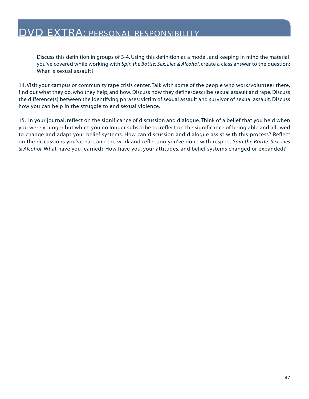Discuss this definition in groups of 3-4. Using this definition as a model, and keeping in mind the material you've covered while working with *Spin the Bottle: Sex, Lies & Alcohol*, create a class answer to the question: What is sexual assault?

14. Visit your campus or community rape crisis center. Talk with some of the people who work/volunteer there, find out what they do, who they help, and how. Discuss how they define/describe sexual assault and rape. Discuss the difference(s) between the identifying phrases: victim of sexual assault and survivor of sexual assault. Discuss how you can help in the struggle to end sexual violence.

15. In your journal, reflect on the significance of discussion and dialogue. Think of a belief that you held when you were younger but which you no longer subscribe to; reflect on the significance of being able and allowed to change and adapt your belief systems. How can discussion and dialogue assist with this process? Reflect on the discussions you've had, and the work and reflection you've done with respect *Spin the Bottle: Sex, Lies & Alcohol*. What have you learned? How have you, your attitudes, and belief systems changed or expanded?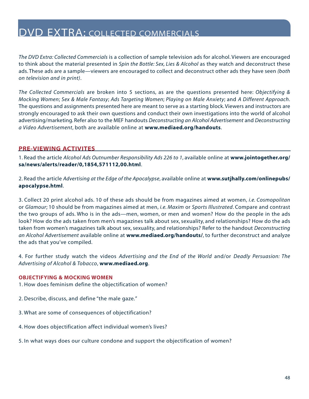<span id="page-47-0"></span>*The DVD Extra: Collected Commercials* is a collection of sample television ads for alcohol. Viewers are encouraged to think about the material presented in *Spin the Bottle: Sex, Lies & Alcohol* as they watch and deconstruct these ads. These ads are a sample—viewers are encouraged to collect and deconstruct other ads they have seen *(both on television and in print)*.

*The Collected Commercials* are broken into 5 sections, as are the questions presented here: *Objectifying & Mocking Women*; *Sex & Male Fantasy*; *Ads Targeting Women*; *Playing on Male Anxiety*; and *A Different Approach*. The questions and assignments presented here are meant to serve as a starting block. Viewers and instructors are strongly encouraged to ask their own questions and conduct their own investigations into the world of alcohol advertising/marketing. Refer also to the MEF handouts *Deconstructing an Alcohol Advertisement* and *Deconstructing a Video Advertisement*, both are available online at **[www.mediaed.org/handouts](http://www.mediaed.org/handouts/)**.

#### **PRE-VIEWING ACTIVITES**

1. Read the article *Alcohol Ads Outnumber Responsibility Ads 226 to 1*, available online at **[www.jointogether.org/](http://www.jointogether.org/sa/news/alerts/reader/0,1854,571112,00.html) [sa/news/alerts/reader/0,1854,571112,00.html](http://www.jointogether.org/sa/news/alerts/reader/0,1854,571112,00.html)**.

2. Read the article *Advertising at the Edge of the Apocalypse*, available online at **[www.sutjhally.com/onlinepubs/](http://www.sutjhally.com/onlinepubs/apocalypse.html) [apocalypse.html](http://www.sutjhally.com/onlinepubs/apocalypse.html)**.

3. Collect 20 print alcohol ads. 10 of these ads should be from magazines aimed at women, *i.e. Cosmopolitan* or *Glamour*; 10 should be from magazines aimed at men, *i.e. Maxim* or *Sports Illustrated*. Compare and contrast the two groups of ads. Who is in the ads—men, women, or men and women? How do the people in the ads look? How do the ads taken from men's magazines talk about sex, sexuality, and relationships? How do the ads taken from women's magazines talk about sex, sexuality, and relationships? Refer to the handout *Deconstructing an Alcohol Advertisement* available online at **[www.mediaed.org/handouts/](http://www.mediaed.org/handouts/)**, to further deconstruct and analyze the ads that you've compiled.

4. For further study watch the videos *Advertising and the End of the World* and/or *Deadly Persuasion: The Advertising of Alcohol & Tobacco*, **[www.mediaed.org](http://www.mediaed.org)**.

#### **OBJECTIFYING & MOCKING WOMEN**

1. How does feminism define the objectification of women?

2. Describe, discuss, and define "the male gaze."

- 3. What are some of consequences of objectification?
- 4. How does objectification affect individual women's lives?
- 5. In what ways does our culture condone and support the objectification of women?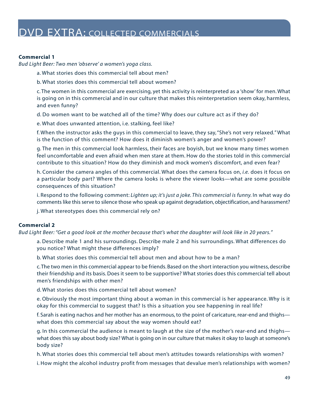#### **Commercial 1**

*Bud Light Beer: Two men 'observe' a women's yoga class.*

a. What stories does this commercial tell about men?

b. What stories does this commercial tell about women?

c. The women in this commercial are exercising, yet this activity is reinterpreted as a 'show' for men. What is going on in this commercial and in our culture that makes this reinterpretation seem okay, harmless, and even funny?

d. Do women want to be watched all of the time? Why does our culture act as if they do?

e. What does unwanted attention, i.e. stalking, feel like?

f. When the instructor asks the guys in this commercial to leave, they say, "She's not very relaxed." What is the function of this comment? How does it diminish women's anger and women's power?

g. The men in this commercial look harmless, their faces are boyish, but we know many times women feel uncomfortable and even afraid when men stare at them. How do the stories told in this commercial contribute to this situation? How do they diminish and mock women's discomfort, and even fear?

h. Consider the camera angles of this commercial. What does the camera focus on, *i.e.* does it focus on a particular body part? Where the camera looks is where the viewer looks—what are some possible consequences of this situation?

i. Respond to the following comment: *Lighten up; it's just a joke. This commercial is funny.* In what way do comments like this serve to silence those who speak up against degradation, objectification, and harassment?

j. What stereotypes does this commercial rely on?

#### **Commercial 2**

*Bud Light Beer: "Get a good look at the mother because that's what the daughter will look like in 20 years."*

a. Describe male 1 and his surroundings. Describe male 2 and his surroundings. What differences do you notice? What might these differences imply?

b. What stories does this commercial tell about men and about how to be a man?

c.The two men in this commercial appear to be friends. Based on the short interaction you witness, describe their friendship and its basis. Does it seem to be supportive? What stories does this commercial tell about men's friendships with other men?

d. What stories does this commercial tell about women?

e. Obviously the most important thing about a woman in this commercial is her appearance. Why is it okay for this commercial to suggest that? Is this a situation you see happening in real life?

f. Sarah is eating nachos and her mother has an enormous, to the point of caricature, rear-end and thighs what does this commercial say about the way women should eat?

g. In this commercial the audience is meant to laugh at the size of the mother's rear-end and thighs what does this say about body size? What is going on in our culture that makes it okay to laugh at someone's body size?

h. What stories does this commercial tell about men's attitudes towards relationships with women?

i. How might the alcohol industry profit from messages that devalue men's relationships with women?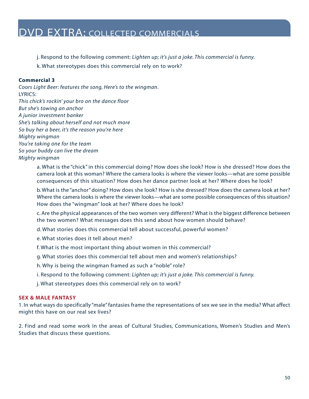j. Respond to the following comment: *Lighten up; it's just a joke. This commercial is funny.*

k. What stereotypes does this commercial rely on to work?

#### **Commercial 3**

*Coors Light Beer: features the song, Here's to the wingman.* LYRICS: *This chick's rockin' your bro on the dance floor But she's towing an anchor A junior investment banker She's talking about herself and not much more So buy her a beer, it's the reason you're here Mighty wingman You're taking one for the team So your buddy can live the dream Mighty wingman* 

> a. What is the "chick" in this commercial doing? How does she look? How is she dressed? How does the camera look at this woman? Where the camera looks is where the viewer looks—what are some possible consequences of this situation? How does her dance partner look at her? Where does he look?

> b. What is the "anchor" doing? How does she look? How is she dressed? How does the camera look at her? Where the camera looks is where the viewer looks—what are some possible consequences of this situation? How does the "wingman" look at her? Where does he look?

> c. Are the physical appearances of the two women very different? What is the biggest difference between the two women? What messages does this send about how women should behave?

- d. What stories does this commercial tell about successful, powerful women?
- e. What stories does it tell about men?
- f. What is the most important thing about women in this commercial?
- g. What stories does this commercial tell about men and women's relationships?
- h. Why is being the wingman framed as such a "noble" role?
- i. Respond to the following comment: *Lighten up; it's just a joke. This commercial is funny.*
- j. What stereotypes does this commercial rely on to work?

#### **SEX & MALE FANTASY**

1. In what ways do specifically "male" fantasies frame the representations of sex we see in the media? What affect might this have on our real sex lives?

2. Find and read some work in the areas of Cultural Studies, Communications, Women's Studies and Men's Studies that discuss these questions.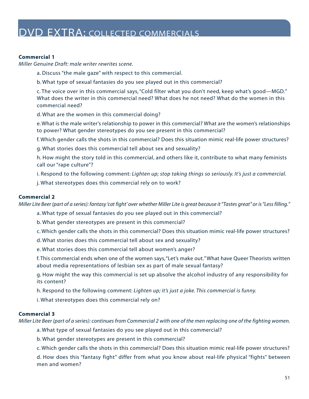#### **Commercial 1**

*Miller Genuine Draft: male writer rewrites scene.*

- a. Discuss "the male gaze" with respect to this commercial.
- b. What type of sexual fantasies do you see played out in this commercial?

c. The voice over in this commercial says, "Cold filter what you don't need, keep what's good—MGD." What does the writer in this commercial need? What does he not need? What do the women in this commercial need?

d. What are the women in this commercial doing?

e. What is the male writer's relationship to power in this commercial? What are the women's relationships to power? What gender stereotypes do you see present in this commercial?

f. Which gender calls the shots in this commercial? Does this situation mimic real-life power structures?

g. What stories does this commercial tell about sex and sexuality?

h. How might the story told in this commercial, and others like it, contribute to what many feminists call our "rape culture"?

i. Respond to the following comment: *Lighten up; stop taking things so seriously. It's just a commercial.*

j. What stereotypes does this commercial rely on to work?

#### **Commercial 2**

*Miller Lite Beer (part of a series): fantasy 'cat fight' over whether Miller Lite is great because it "Tastes great" or is "Less filling."*

a. What type of sexual fantasies do you see played out in this commercial?

b. What gender stereotypes are present in this commercial?

- c. Which gender calls the shots in this commercial? Does this situation mimic real-life power structures?
- d. What stories does this commercial tell about sex and sexuality?
- e. What stories does this commercial tell about women's anger?

f. This commercial ends when one of the women says,"Let's make out." What have Queer Theorists written about media representations of lesbian sex as part of male sexual fantasy?

g. How might the way this commercial is set up absolve the alcohol industry of any responsibility for its content?

h. Respond to the following comment: *Lighten up; it's just a joke. This commercial is funny.*

i. What stereotypes does this commercial rely on?

#### **Commercial 3**

*Miller Lite Beer (part of a series): continues from Commercial 2 with one of the men replacing one of the fighting women.*

- a. What type of sexual fantasies do you see played out in this commercial?
- b. What gender stereotypes are present in this commercial?

c. Which gender calls the shots in this commercial? Does this situation mimic real-life power structures?

d. How does this "fantasy fight" differ from what you know about real-life physical "fights" between men and women?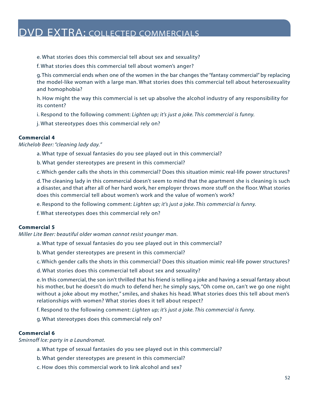- e. What stories does this commercial tell about sex and sexuality?
- f. What stories does this commercial tell about women's anger?

g. This commercial ends when one of the women in the bar changes the "fantasy commercial" by replacing the model-like woman with a large man. What stories does this commercial tell about heterosexuality and homophobia?

h. How might the way this commercial is set up absolve the alcohol industry of any responsibility for its content?

i. Respond to the following comment: *Lighten up; it's just a joke. This commercial is funny.*

j. What stereotypes does this commercial rely on?

#### **Commercial 4**

*Michelob Beer: "cleaning lady day."*

a. What type of sexual fantasies do you see played out in this commercial?

b. What gender stereotypes are present in this commercial?

c. Which gender calls the shots in this commercial? Does this situation mimic real-life power structures?

d. The cleaning lady in this commercial doesn't seem to mind that the apartment she is cleaning is such a disaster, and that after all of her hard work, her employer throws more stuff on the floor. What stories does this commercial tell about women's work and the value of women's work?

e. Respond to the following comment: *Lighten up; it's just a joke. This commercial is funny.*

f. What stereotypes does this commercial rely on?

#### **Commercial 5**

*Miller Lite Beer: beautiful older woman cannot resist younger man.*

- a. What type of sexual fantasies do you see played out in this commercial?
- b. What gender stereotypes are present in this commercial?
- c. Which gender calls the shots in this commercial? Does this situation mimic real-life power structures?
- d. What stories does this commercial tell about sex and sexuality?

e. In this commercial, the son isn't thrilled that his friend is telling a joke and having a sexual fantasy about his mother, but he doesn't do much to defend her; he simply says, "Oh come on, can't we go one night without a joke about my mother," smiles, and shakes his head. What stories does this tell about men's relationships with women? What stories does it tell about respect?

f. Respond to the following comment: *Lighten up; it's just a joke. This commercial is funny.*

g. What stereotypes does this commercial rely on?

#### **Commercial 6**

*Smirnoff Ice: party in a Laundromat.*

- a. What type of sexual fantasies do you see played out in this commercial?
- b. What gender stereotypes are present in this commercial?
- c. How does this commercial work to link alcohol and sex?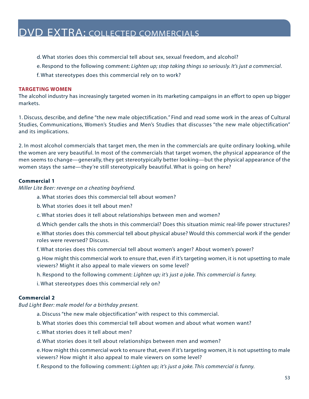- d. What stories does this commercial tell about sex, sexual freedom, and alcohol?
- e. Respond to the following comment: *Lighten up; stop taking things so seriously. It's just a commercial*.
- f. What stereotypes does this commercial rely on to work?

#### **TARGETING WOMEN**

The alcohol industry has increasingly targeted women in its marketing campaigns in an effort to open up bigger markets.

1. Discuss, describe, and define "the new male objectification." Find and read some work in the areas of Cultural Studies, Communications, Women's Studies and Men's Studies that discusses "the new male objectification" and its implications.

2. In most alcohol commercials that target men, the men in the commercials are quite ordinary looking, while the women are very beautiful. In most of the commercials that target women, the physical appearance of the men seems to change—generally, they get stereotypically better looking—but the physical appearance of the women stays the same—they're still stereotypically beautiful. What is going on here?

#### **Commercial 1**

*Miller Lite Beer: revenge on a cheating boyfriend.*

- a. What stories does this commercial tell about women?
- b. What stories does it tell about men?
- c. What stories does it tell about relationships between men and women?
- d. Which gender calls the shots in this commercial? Does this situation mimic real-life power structures?

e. What stories does this commercial tell about physical abuse? Would this commercial work if the gender roles were reversed? Discuss.

f. What stories does this commercial tell about women's anger? About women's power?

g. How might this commercial work to ensure that, even if it's targeting women, it is not upsetting to male viewers? Might it also appeal to male viewers on some level?

- h. Respond to the following comment: *Lighten up; it's just a joke. This commercial is funny.*
- i. What stereotypes does this commercial rely on?

#### **Commercial 2**

*Bud Light Beer: male model for a birthday present.*

- a. Discuss "the new male objectification" with respect to this commercial.
- b. What stories does this commercial tell about women and about what women want?
- c. What stories does it tell about men?
- d. What stories does it tell about relationships between men and women?

e. How might this commercial work to ensure that, even if it's targeting women, it is not upsetting to male viewers? How might it also appeal to male viewers on some level?

f. Respond to the following comment: *Lighten up; it's just a joke. This commercial is funny.*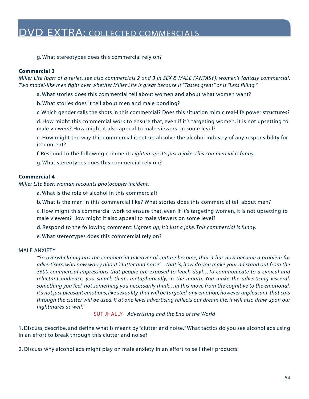g. What stereotypes does this commercial rely on?

#### **Commercial 3**

*Miller Lite (part of a series, see also commercials 2 and 3 in SEX & MALE FANTASY): women's fantasy commercial. Two model-like men fight over whether Miller Lite is great because it "Tastes great" or is "Less filling."*

a. What stories does this commercial tell about women and about what women want?

b. What stories does it tell about men and male bonding?

c. Which gender calls the shots in this commercial? Does this situation mimic real-life power structures?

d. How might this commercial work to ensure that, even if it's targeting women, it is not upsetting to male viewers? How might it also appeal to male viewers on some level?

e. How might the way this commercial is set up absolve the alcohol industry of any responsibility for its content?

f. Respond to the following comment: *Lighten up; it's just a joke. This commercial is funny.*

g. What stereotypes does this commercial rely on?

#### **Commercial 4**

*Miller Lite Beer: woman recounts photocopier incident.*

a. What is the role of alcohol in this commercial?

b. What is the man in this commercial like? What stories does this commercial tell about men?

c. How might this commercial work to ensure that, even if it's targeting women, it is not upsetting to male viewers? How might it also appeal to male viewers on some level?

d. Respond to the following comment: *Lighten up; it's just a joke. This commercial is funny.*

e. What stereotypes does this commercial rely on?

#### MALE ANXIETY

*"So overwhelming has the commercial takeover of culture become, that it has now become a problem for advertisers, who now worry about 'clutter and noise'—that is, how do you make your ad stand out from the 3600 commercial impressions that people are exposed to [each day]…To communicate to a cynical and reluctant audience, you smack them, metaphorically, in the mouth. You make the advertising visceral, something you feel, not something you necessarily think…in this move from the cognitive to the emotional, it's not just pleasant emotions, like sexuality, that will be targeted, any emotion, however unpleasant, that cuts through the clutter will be used. If at one level advertising reflects our dream life, it will also draw upon our nightmares as well."*

SUT JHALLY | *Advertising and the End of the World*

1. Discuss, describe, and define what is meant by "clutter and noise." What tactics do you see alcohol ads using in an effort to break through this clutter and noise?

2. Discuss why alcohol ads might play on male anxiety in an effort to sell their products.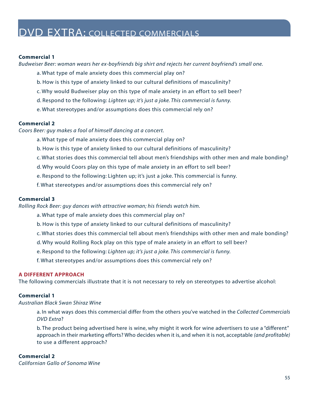#### **Commercial 1**

*Budweiser Beer: woman wears her ex-boyfriends big shirt and rejects her current boyfriend's small one.*

- a. What type of male anxiety does this commercial play on?
- b. How is this type of anxiety linked to our cultural definitions of masculinity?
- c. Why would Budweiser play on this type of male anxiety in an effort to sell beer?
- d. Respond to the following: *Lighten up; it's just a joke. This commercial is funny.*
- e. What stereotypes and/or assumptions does this commercial rely on?

#### **Commercial 2**

*Coors Beer: guy makes a fool of himself dancing at a concert.*

- a. What type of male anxiety does this commercial play on?
- b. How is this type of anxiety linked to our cultural definitions of masculinity?
- c. What stories does this commercial tell about men's friendships with other men and male bonding?
- d. Why would Coors play on this type of male anxiety in an effort to sell beer?
- e. Respond to the following: Lighten up; it's just a joke. This commercial is funny.
- f. What stereotypes and/or assumptions does this commercial rely on?

#### **Commercial 3**

*Rolling Rock Beer: guy dances with attractive woman; his friends watch him.*

- a. What type of male anxiety does this commercial play on?
- b. How is this type of anxiety linked to our cultural definitions of masculinity?
- c. What stories does this commercial tell about men's friendships with other men and male bonding?
- d. Why would Rolling Rock play on this type of male anxiety in an effort to sell beer?
- e. Respond to the following: *Lighten up; it's just a joke. This commercial is funny.*
- f. What stereotypes and/or assumptions does this commercial rely on?

#### **A DIFFERENT APPROACH**

The following commercials illustrate that it is not necessary to rely on stereotypes to advertise alcohol:

#### **Commercial 1**

#### *Australian Black Swan Shiraz Wine*

a. In what ways does this commercial differ from the others you've watched in the *Collected Commercials DVD Extra*?

b. The product being advertised here is wine, why might it work for wine advertisers to use a "different" approach in their marketing efforts? Who decides when it is, and when it is not, acceptable *(and profitable)*  to use a different approach?

#### **Commercial 2**

*Californian Gallo of Sonoma Wine*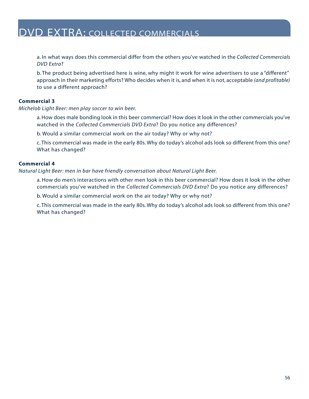a. In what ways does this commercial differ from the others you've watched in the *Collected Commercials DVD Extra*?

b. The product being advertised here is wine, why might it work for wine advertisers to use a "different" approach in their marketing efforts? Who decides when it is, and when it is not, acceptable *(and profitable)* to use a different approach?

#### **Commercial 3**

*Michelob Light Beer: men play soccer to win beer.*

a. How does male bonding look in this beer commercial? How does it look in the other commercials you've watched in the *Collected Commercials DVD Extra*? Do you notice any differences?

b. Would a similar commercial work on the air today? Why or why not?

c. This commercial was made in the early 80s. Why do today's alcohol ads look so different from this one? What has changed?

#### **Commercial 4**

*Natural Light Beer: men in bar have friendly conversation about Natural Light Beer.*

a. How do men's interactions with other men look in this beer commercial? How does it look in the other commercials you've watched in the *Collected Commercials DVD Extra*? Do you notice any differences?

b. Would a similar commercial work on the air today? Why or why not?

c. This commercial was made in the early 80s. Why do today's alcohol ads look so different from this one? What has changed?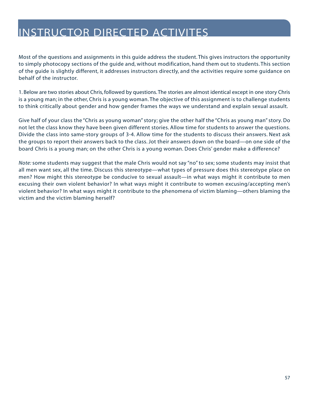<span id="page-56-0"></span>Most of the questions and assignments in this guide address the student. This gives instructors the opportunity to simply photocopy sections of the guide and, without modification, hand them out to students. This section of the guide is slightly different, it addresses instructors directly, and the activities require some guidance on behalf of the instructor.

1. Below are two stories about Chris, followed by questions. The stories are almost identical except in one story Chris is a young man; in the other, Chris is a young woman. The objective of this assignment is to challenge students to think critically about gender and how gender frames the ways we understand and explain sexual assault.

Give half of your class the "Chris as young woman" story; give the other half the "Chris as young man" story. Do not let the class know they have been given different stories. Allow time for students to answer the questions. Divide the class into same-story groups of 3-4. Allow time for the students to discuss their answers. Next ask the groups to report their answers back to the class. Jot their answers down on the board—on one side of the board Chris is a young man; on the other Chris is a young woman. Does Chris' gender make a difference?

*Note:* some students may suggest that the male Chris would not say "no" to sex; some students may insist that all men want sex, all the time. Discuss this stereotype—what types of pressure does this stereotype place on men? How might this stereotype be conducive to sexual assault—in what ways might it contribute to men excusing their own violent behavior? In what ways might it contribute to women excusing/accepting men's violent behavior? In what ways might it contribute to the phenomena of victim blaming—others blaming the victim and the victim blaming herself?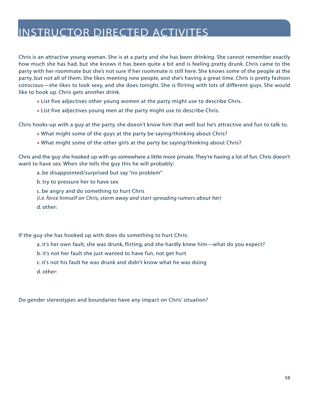Chris is an attractive young woman. She is at a party and she has been drinking. She cannot remember exactly how much she has had, but she knows it has been quite a bit and is feeling pretty drunk. Chris came to the party with her roommate but she's not sure if her roommate is still here. She knows some of the people at the party, but not all of them. She likes meeting new people, and she's having a great time. Chris is pretty fashion conscious—she likes to look sexy, and she does tonight. She is flirting with lots of different guys. She would like to hook up. Chris gets another drink.

- **»** List five adjectives other young women at the party might use to describe Chris.
- **»** List five adjectives young men at the party might use to describe Chris.

Chris hooks-up with a guy at the party, she doesn't know him that well but he's attractive and fun to talk to.

- **»** What might some of the guys at the party be saying/thinking about Chris?
- **»** What might some of the other girls at the party be saying/thinking about Chris?

Chris and the guy she hooked up with go somewhere a little more private. They're having a lot of fun. Chris doesn't want to have sex. When she tells the guy this he will probably:

- a. be disappointed/surprised but say "no problem"
- b. try to pressure her to have sex
- c. be angry and do something to hurt Chris
- *(i.e. force himself on Chris, storm away and start spreading rumors about her)*
- d. other:

If the guy she has hooked up with does do something to hurt Chris:

- a. it's her own fault, she was drunk, flirting, and she hardly knew him—what do you expect?
- b. it's not her fault she just wanted to have fun, not get hurt
- c. it's not his fault he was drunk and didn't know what he was doing
- d. other:

Do gender stereotypes and boundaries have any impact on Chris' situation?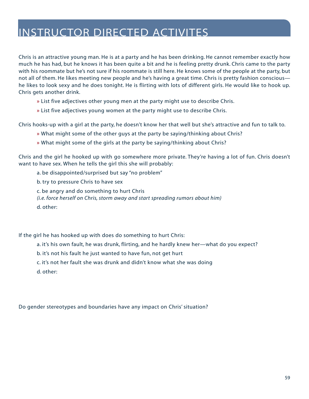Chris is an attractive young man. He is at a party and he has been drinking. He cannot remember exactly how much he has had, but he knows it has been quite a bit and he is feeling pretty drunk. Chris came to the party with his roommate but he's not sure if his roommate is still here. He knows some of the people at the party, but not all of them. He likes meeting new people and he's having a great time. Chris is pretty fashion conscious he likes to look sexy and he does tonight. He is flirting with lots of different girls. He would like to hook up. Chris gets another drink.

- **»** List five adjectives other young men at the party might use to describe Chris.
- **»** List five adjectives young women at the party might use to describe Chris.

Chris hooks-up with a girl at the party, he doesn't know her that well but she's attractive and fun to talk to.

- **»** What might some of the other guys at the party be saying/thinking about Chris?
- **»** What might some of the girls at the party be saying/thinking about Chris?

Chris and the girl he hooked up with go somewhere more private. They're having a lot of fun. Chris doesn't want to have sex. When he tells the girl this she will probably:

a. be disappointed/surprised but say "no problem"

b. try to pressure Chris to have sex

c. be angry and do something to hurt Chris *(i.e. force herself on Chris, storm away and start spreading rumors about him)* 

d. other:

If the girl he has hooked up with does do something to hurt Chris:

a. it's his own fault, he was drunk, flirting, and he hardly knew her—what do you expect?

b. it's not his fault he just wanted to have fun, not get hurt

c. it's not her fault she was drunk and didn't know what she was doing

d. other:

Do gender stereotypes and boundaries have any impact on Chris' situation?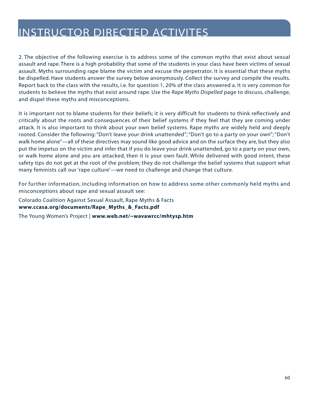2. The objective of the following exercise is to address some of the common myths that exist about sexual assault and rape. There is a high probability that some of the students in your class have been victims of sexual assault. Myths surrounding rape blame the victim and excuse the perpetrator. It is essential that these myths be dispelled. Have students answer the survey below anonymously. Collect the survey and compile the results. Report back to the class with the results, i.e. for question 1, 20% of the class answered a. It is very common for students to believe the myths that exist around rape. Use the *Rape Myths Dispelled* page to discuss, challenge, and dispel these myths and misconceptions.

It is important not to blame students for their beliefs; it is very difficult for students to think reflectively and critically about the roots and consequences of their belief systems if they feel that they are coming under attack. It is also important to think about your own belief systems. Rape myths are widely held and deeply rooted. Consider the following: "Don't leave your drink unattended"; "Don't go to a party on your own"; "Don't walk home alone"—all of these directives may sound like good advice and on the surface they are, but they also put the impetus on the victim and infer that if you do leave your drink unattended, go to a party on your own, or walk home alone and you are attacked, then it is your own fault. While delivered with good intent, these safety tips do not get at the root of the problem; they do not challenge the belief systems that support what many feminists call our 'rape culture'—we need to challenge and change that culture.

For further information, including information on how to address some other commonly held myths and misconceptions about rape and sexual assault see:

Colorado Coalition Against Sexual Assault, Rape Myths & Facts **[www.ccasa.org/documents/Rape\\_Myths\\_&\\_Facts.pdf](http://www.ccasa.org/documents/Rape_Myths_&_Facts.pdf)** 

The Young Women's Project | **[www.web.net/~wavawrcc/mhtysp.htm](http://www.webnet/~wavawrcc/mhtysp.htm)**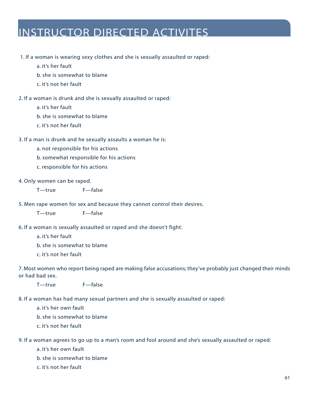#### 1. If a woman is wearing sexy clothes and she is sexually assaulted or raped:

a. it's her fault

- b. she is somewhat to blame
- c. it's not her fault

2. If a woman is drunk and she is sexually assaulted or raped:

a. it's her fault

- b. she is somewhat to blame
- c. it's not her fault

#### 3. If a man is drunk and he sexually assaults a woman he is:

a. not responsible for his actions

b. somewhat responsible for his actions

c. responsible for his actions

#### 4. Only women can be raped.

T—true F—false

5. Men rape women for sex and because they cannot control their desires.

T—true F—false

- 6. If a woman is sexually assaulted or raped and she doesn't fight:
	- a. it's her fault
	- b. she is somewhat to blame
	- c. it's not her fault

7. Most women who report being raped are making false accusations; they've probably just changed their minds or had bad sex.

T—true F—false

8. If a woman has had many sexual partners and she is sexually assaulted or raped:

a. it's her own fault

b. she is somewhat to blame

c. it's not her fault

9. If a woman agrees to go up to a man's room and fool around and she's sexually assaulted or raped:

a. it's her own fault

- b. she is somewhat to blame
- c. it's not her fault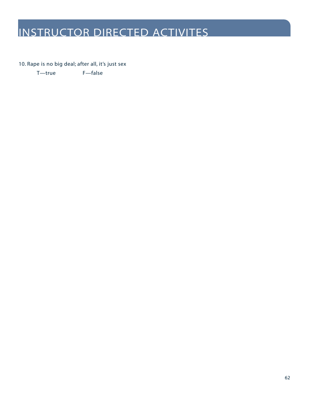10. Rape is no big deal; after all, it's just sex

T—true F—false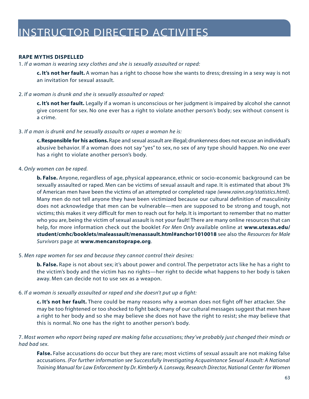#### **RAPE MYTHS DISPELLED**

1. *If a woman is wearing sexy clothes and she is sexually assaulted or raped:*

**c. It's not her fault.** A woman has a right to choose how she wants to dress; dressing in a sexy way is not an invitation for sexual assault.

#### 2. *If a woman is drunk and she is sexually assaulted or raped:*

**c. It's not her fault.** Legally if a woman is unconscious or her judgment is impaired by alcohol she cannot give consent for sex. No one ever has a right to violate another person's body; sex without consent is a crime.

#### 3. *If a man is drunk and he sexually assaults or rapes a woman he is:*

**c. Responsible for his actions.**Rape and sexual assault are illegal; drunkenness does not excuse an individual's abusive behavior. If a woman does not say "yes" to sex, no sex of any type should happen. No one ever has a right to violate another person's body.

#### 4. *Only women can be raped.*

**b. False.** Anyone, regardless of age, physical appearance, ethnic or socio-economic background can be sexually assaulted or raped. Men can be victims of sexual assault and rape. It is estimated that about 3% of American men have been the victims of an attempted or completed rape *[\(www.rainn.org/statistics.html\)](http://www.rainn.org/statistics.html)*. Many men do not tell anyone they have been victimized because our cultural definition of masculinity does not acknowledge that men can be vulnerable—men are supposed to be strong and tough, not victims; this makes it very difficult for men to reach out for help. It is important to remember that no matter who you are, being the victim of sexual assault is not your fault! There are many online resources that can help, for more information check out the booklet *For Men Only* available online at **[www.utexas.edu/](http://www.utexas.edu/student/cmhc/booklets/maleassault/menassault.htm#anchor1010018)  [student/cmhc/booklets/maleassault/menassault.html#anchor1010018](http://www.utexas.edu/student/cmhc/booklets/maleassault/menassault.htm#anchor1010018)** see also the *Resources for Male Survivors* page at **[www.mencanstoprape.org](http://www.mencanstoprape.org)**.

#### 5. *Men rape women for sex and because they cannot control their desires:*

**b. False.** Rape is not about sex; it's about power and control. The perpetrator acts like he has a right to the victim's body and the victim has no rights—her right to decide what happens to her body is taken away. Men can decide not to use sex as a weapon.

#### 6. *If a woman is sexually assaulted or raped and she doesn't put up a fight:*

**c. It's not her fault.** There could be many reasons why a woman does not fight off her attacker. She may be too frightened or too shocked to fight back; many of our cultural messages suggest that men have a right to her body and so she may believe she does not have the right to resist; she may believe that this is normal. No one has the right to another person's body.

7. *Most women who report being raped are making false accusations; they've probably just changed their minds or had bad sex.*

**False.** False accusations do occur but they are rare; most victims of sexual assault are not making false accusations. *(For further information see Successfully Investigating Acquaintance Sexual Assault: A National Training Manual for Law Enforcement by Dr. Kimberly A. Lonsway, Research Director, National Center for Women*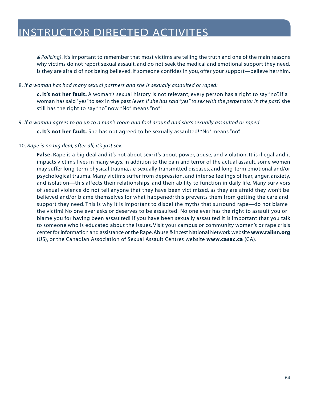*& Policing)*. It's important to remember that most victims are telling the truth and one of the main reasons why victims do not report sexual assault, and do not seek the medical and emotional support they need, is they are afraid of not being believed. If someone confides in you, offer your support—believe her/him.

#### 8. *If a woman has had many sexual partners and she is sexually assaulted or raped:*

**c. It's not her fault.** A woman's sexual history is not relevant; every person has a right to say "no". If a woman has said "yes" to sex in the past *(even if she has said "yes" to sex with the perpetrator in the past)* she still has the right to say "no" now. "No" means "no"!

9. *If a woman agrees to go up to a man's room and fool around and she's sexually assaulted or raped*:

**c. It's not her fault.** She has not agreed to be sexually assaulted! "No" means "no".

#### 10. *Rape is no big deal, after all, it's just sex.*

**False.** Rape is a big deal and it's not about sex; it's about power, abuse, and violation. It is illegal and it impacts victim's lives in many ways. In addition to the pain and terror of the actual assault, some women may suffer long-term physical trauma, *i.e.*sexually transmitted diseases, and long-term emotional and/or psychological trauma. Many victims suffer from depression, and intense feelings of fear, anger, anxiety, and isolation—this affects their relationships, and their ability to function in daily life. Many survivors of sexual violence do not tell anyone that they have been victimized, as they are afraid they won't be believed and/or blame themselves for what happened; this prevents them from getting the care and support they need. This is why it is important to dispel the myths that surround rape—do not blame the victim! No one ever asks or deserves to be assaulted! No one ever has the right to assault you or blame you for having been assaulted! If you have been sexually assaulted it is important that you talk to someone who is educated about the issues. Visit your campus or community women's or rape crisis center for information and assistance or the Rape, Abuse & Incest National Network website **[www.raiinn.org](http://www.rainn.org)** (US), or the Canadian Association of Sexual Assault Centres website **[www.casac.ca](http://www.casac.ca)** (CA).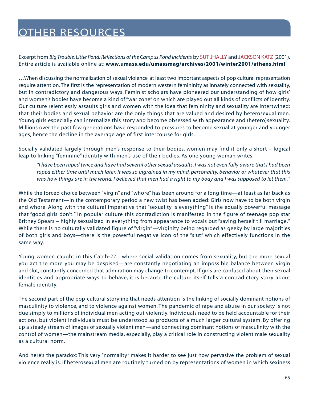<span id="page-64-0"></span>Excerpt from *Big Trouble, Little Pond: Reflections of the Campus Pond Incidents* by SUT JHALLY and JACKSON KATZ (2001). Entire article is available online at: **[www.umass.edu/umassmag/archives/2001/winter2001/athens.html](http://www.umass.edu/umassmag/archives/2001/winter2001/athens.html)** 

…When discussing the normalization of sexual violence, at least two important aspects of pop cultural representation require attention. The first is the representation of modern western femininity as innately connected with sexuality, but in contradictory and dangerous ways. Feminist scholars have pioneered our understanding of how girls' and women's bodies have become a kind of "war zone" on which are played out all kinds of conflicts of identity. Our culture relentlessly assaults girls and women with the idea that femininity and sexuality are intertwined: that their bodies and sexual behavior are the only things that are valued and desired by heterosexual men. Young girls especially can internalize this story and become obsessed with appearance and (hetero)sexuality. Millions over the past few generations have responded to pressures to become sexual at younger and younger ages; hence the decline in the average age of first intercourse for girls.

Socially validated largely through men's response to their bodies, women may find it only a short – logical leap to linking "feminine" identity with men's use of their bodies. As one young woman writes:

*"I have been raped twice and have had several other sexual assaults. I was not even fully aware that I had been raped either time until much later. It was so ingrained in my mind, personality, behavior or whatever that this was how things are in the world. I believed that men had a right to my body and I was supposed to let them."*

While the forced choice between "virgin" and "whore" has been around for a long time—at least as far back as the Old Testament—in the contemporary period a new twist has been added: Girls now have to be both virgin and whore. Along with the cultural imperative that "sexuality is everything" is the equally powerful message that "good girls don't." In popular culture this contradiction is manifested in the figure of teenage pop star Britney Spears – highly sexualized in everything from appearance to vocals but "saving herself till marriage." While there is no culturally validated figure of "virgin"—virginity being regarded as geeky by large majorities of both girls and boys—there is the powerful negative icon of the "slut" which effectively functions in the same way.

Young women caught in this Catch-22—where social validation comes from sexuality, but the more sexual you act the more you may be despised—are constantly negotiating an impossible balance between virgin and slut, constantly concerned that admiration may change to contempt. If girls are confused about their sexual identities and appropriate ways to behave, it is because the culture itself tells a contradictory story about female identity.

The second part of the pop-cultural storyline that needs attention is the linking of socially dominant notions of masculinity to violence, and to violence against women. The pandemic of rape and abuse in our society is not due simply to millions of individual men acting out violently. Individuals need to be held accountable for their actions, but violent individuals must be understood as products of a much larger cultural system. By offering up a steady stream of images of sexually violent men—and connecting dominant notions of masculinity with the control of women—the mainstream media, especially, play a critical role in constructing violent male sexuality as a cultural norm.

And here's the paradox: This very "normality" makes it harder to see just how pervasive the problem of sexual violence really is. If heterosexual men are routinely turned on by representations of women in which sexiness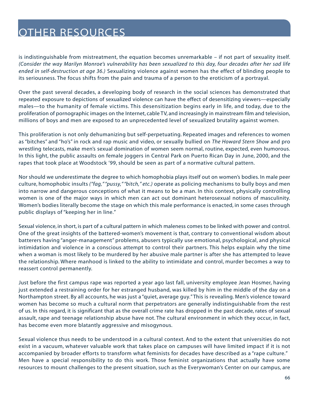is indistinguishable from mistreatment, the equation becomes unremarkable – if not part of sexuality itself. *(Consider the way Marilyn Monroe's vulnerability has been sexualized to this day, four decades after her sad life ended in self-destruction at age 36.)* Sexualizing violence against women has the effect of blinding people to its seriousness. The focus shifts from the pain and trauma of a person to the eroticism of a portrayal.

Over the past several decades, a developing body of research in the social sciences has demonstrated that repeated exposure to depictions of sexualized violence can have the effect of desensitizing viewers—especially males—to the humanity of female victims. This desensitization begins early in life, and today, due to the proliferation of pornographic images on the Internet, cable TV, and increasingly in mainstream film and television, millions of boys and men are exposed to an unprecedented level of sexualized brutality against women.

This proliferation is not only dehumanizing but self-perpetuating. Repeated images and references to women as "bitches" and "ho's" in rock and rap music and video, or sexually bullied on *The Howard Stern Show* and pro wrestling telecasts, make men's sexual domination of women seem normal, routine, expected, even humorous. In this light, the public assaults on female joggers in Central Park on Puerto Rican Day in June, 2000, and the rapes that took place at Woodstock '99, should be seen as part of a normative cultural pattern.

Nor should we underestimate the degree to which homophobia plays itself out on women's bodies. In male peer culture, homophobic insults *("fag," "pussy," "bitch," etc.)* operate as policing mechanisms to bully boys and men into narrow and dangerous conceptions of what it means to be a man. In this context, physically controlling women is one of the major ways in which men can act out dominant heterosexual notions of masculinity. Women's bodies literally become the stage on which this male performance is enacted, in some cases through public displays of "keeping her in line."

Sexual violence, in short, is part of a cultural pattern in which maleness comes to be linked with power and control. One of the great insights of the battered-women's movement is that, contrary to conventional wisdom about batterers having "anger-management" problems, abusers typically use emotional, psychological, and physical intimidation and violence in a conscious attempt to control their partners. This helps explain why the time when a woman is most likely to be murdered by her abusive male partner is after she has attempted to leave the relationship. Where manhood is linked to the ability to intimidate and control, murder becomes a way to reassert control permanently.

Just before the first campus rape was reported a year ago last fall, university employee Jean Hosmer, having just extended a restraining order for her estranged husband, was killed by him in the middle of the day on a Northampton street. By all accounts, he was just a "quiet, average guy." This is revealing. Men's violence toward women has become so much a cultural norm that perpetrators are generally indistinguishable from the rest of us. In this regard, it is significant that as the overall crime rate has dropped in the past decade, rates of sexual assault, rape and teenage relationship abuse have not. The cultural environment in which they occur, in fact, has become even more blatantly aggressive and misogynous.

Sexual violence thus needs to be understood in a cultural context. And to the extent that universities do not exist in a vacuum, whatever valuable work that takes place on campuses will have limited impact if it is not accompanied by broader efforts to transform what feminists for decades have described as a "rape culture." Men have a special responsibility to do this work. Those feminist organizations that actually have some resources to mount challenges to the present situation, such as the Everywoman's Center on our campus, are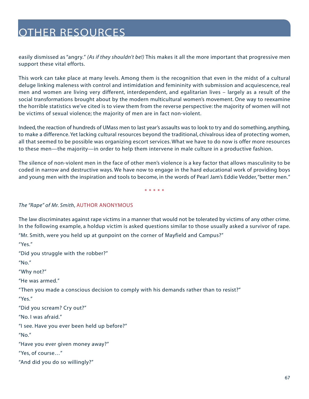easily dismissed as "angry." *(As if they shouldn't be!)* This makes it all the more important that progressive men support these vital efforts.

This work can take place at many levels. Among them is the recognition that even in the midst of a cultural deluge linking maleness with control and intimidation and femininity with submission and acquiescence, real men and women are living very different, interdependent, and egalitarian lives – largely as a result of the social transformations brought about by the modern multicultural women's movement. One way to reexamine the horrible statistics we've cited is to view them from the reverse perspective: the majority of women will not be victims of sexual violence; the majority of men are in fact non-violent.

Indeed, the reaction of hundreds of UMass men to last year's assaults was to look to try and do something, anything, to make a difference. Yet lacking cultural resources beyond the traditional, chivalrous idea of protecting women, all that seemed to be possible was organizing escort services. What we have to do now is offer more resources to these men—the majority—in order to help them intervene in male culture in a productive fashion.

The silence of non-violent men in the face of other men's violence is a key factor that allows masculinity to be coded in narrow and destructive ways. We have now to engage in the hard educational work of providing boys and young men with the inspiration and tools to become, in the words of Pearl Jam's Eddie Vedder,"better men."

\*\*\*\*\*

#### *The "Rape" of Mr. Smith*, AUTHOR ANONYMOUS

The law discriminates against rape victims in a manner that would not be tolerated by victims of any other crime. In the following example, a holdup victim is asked questions similar to those usually asked a survivor of rape.

"Mr. Smith, were you held up at gunpoint on the corner of Mayfield and Campus?"

"Yes."

"Did you struggle with the robber?"

"No."

"Why not?"

"He was armed."

"Then you made a conscious decision to comply with his demands rather than to resist?"

"Yes."

"Did you scream? Cry out?"

"No. I was afraid."

"I see. Have you ever been held up before?"

"No."

"Have you ever given money away?"

"Yes, of course…"

"And did you do so willingly?"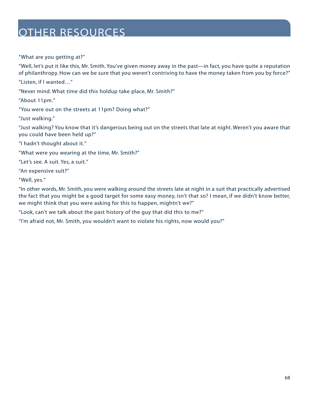"What are you getting at?"

"Well, let's put it like this, Mr. Smith. You've given money away in the past—in fact, you have quite a reputation of philanthropy. How can we be sure that you weren't contriving to have the money taken from you by force?"

"Listen, if I wanted…"

"Never mind. What time did this holdup take place, Mr. Smith?"

"About 11pm."

"You were out on the streets at 11pm? Doing what?"

"Just walking."

"Just walking? You know that it's dangerous being out on the streets that late at night. Weren't you aware that you could have been held up?"

"I hadn't thought about it."

"What were you wearing at the time, Mr. Smith?"

"Let's see. A suit. Yes, a suit."

"An expensive suit?"

"Well, yes."

"In other words, Mr. Smith, you were walking around the streets late at night in a suit that practically advertised the fact that you might be a good target for some easy money, isn't that so? I mean, if we didn't know better, we might think that you were asking for this to happen, mightn't we?"

"Look, can't we talk about the past history of the guy that did this to me?"

"I'm afraid not, Mr. Smith, you wouldn't want to violate his rights, now would you?"